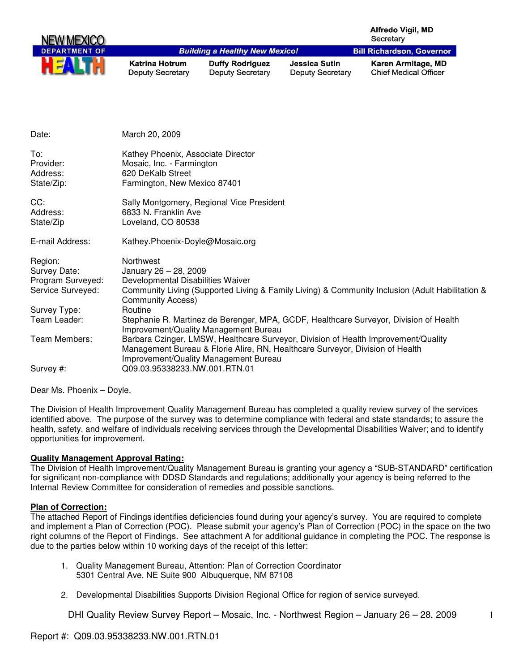| <b>NEW MEXICO</b>    |                                           |                                                   |                                                 | <b>Alfredo Vigil, MD</b><br>Secretary              |
|----------------------|-------------------------------------------|---------------------------------------------------|-------------------------------------------------|----------------------------------------------------|
| <b>DEPARTMENT OF</b> |                                           | <b>Building a Healthy New Mexico!</b>             |                                                 | <b>Bill Richardson, Governor</b>                   |
| HE                   | Katrina Hotrum<br><b>Deputy Secretary</b> | <b>Duffy Rodriguez</b><br><b>Deputy Secretary</b> | <b>Jessica Sutin</b><br><b>Deputy Secretary</b> | Karen Armitage, MD<br><b>Chief Medical Officer</b> |

| Date:                                                             | March 20, 2009                                                                                                                                                                                               |
|-------------------------------------------------------------------|--------------------------------------------------------------------------------------------------------------------------------------------------------------------------------------------------------------|
| To:<br>Provider:<br>Address:<br>State/Zip:                        | Kathey Phoenix, Associate Director<br>Mosaic, Inc. - Farmington<br>620 DeKalb Street<br>Farmington, New Mexico 87401                                                                                         |
| CC:<br>Address:<br>State/Zip                                      | Sally Montgomery, Regional Vice President<br>6833 N. Franklin Ave<br>Loveland, CO 80538                                                                                                                      |
| E-mail Address:                                                   | Kathey.Phoenix-Doyle@Mosaic.org                                                                                                                                                                              |
| Region:<br>Survey Date:<br>Program Surveyed:<br>Service Surveyed: | Northwest<br>January 26 - 28, 2009<br>Developmental Disabilities Waiver<br>Community Living (Supported Living & Family Living) & Community Inclusion (Adult Habilitation &<br><b>Community Access)</b>       |
| Survey Type:                                                      | Routine                                                                                                                                                                                                      |
| Team Leader:                                                      | Stephanie R. Martinez de Berenger, MPA, GCDF, Healthcare Surveyor, Division of Health<br>Improvement/Quality Management Bureau                                                                               |
| Team Members:                                                     | Barbara Czinger, LMSW, Healthcare Surveyor, Division of Health Improvement/Quality<br>Management Bureau & Florie Alire, RN, Healthcare Surveyor, Division of Health<br>Improvement/Quality Management Bureau |
| Survey #:                                                         | Q09.03.95338233.NW.001.RTN.01                                                                                                                                                                                |

Dear Ms. Phoenix – Doyle,

The Division of Health Improvement Quality Management Bureau has completed a quality review survey of the services identified above. The purpose of the survey was to determine compliance with federal and state standards; to assure the health, safety, and welfare of individuals receiving services through the Developmental Disabilities Waiver; and to identify opportunities for improvement.

#### **Quality Management Approval Rating:**

The Division of Health Improvement/Quality Management Bureau is granting your agency a "SUB-STANDARD" certification for significant non-compliance with DDSD Standards and regulations; additionally your agency is being referred to the Internal Review Committee for consideration of remedies and possible sanctions.

#### **Plan of Correction:**

The attached Report of Findings identifies deficiencies found during your agency's survey. You are required to complete and implement a Plan of Correction (POC). Please submit your agency's Plan of Correction (POC) in the space on the two right columns of the Report of Findings. See attachment A for additional guidance in completing the POC. The response is due to the parties below within 10 working days of the receipt of this letter:

- 1. Quality Management Bureau, Attention: Plan of Correction Coordinator 5301 Central Ave. NE Suite 900 Albuquerque, NM 87108
- 2. Developmental Disabilities Supports Division Regional Office for region of service surveyed.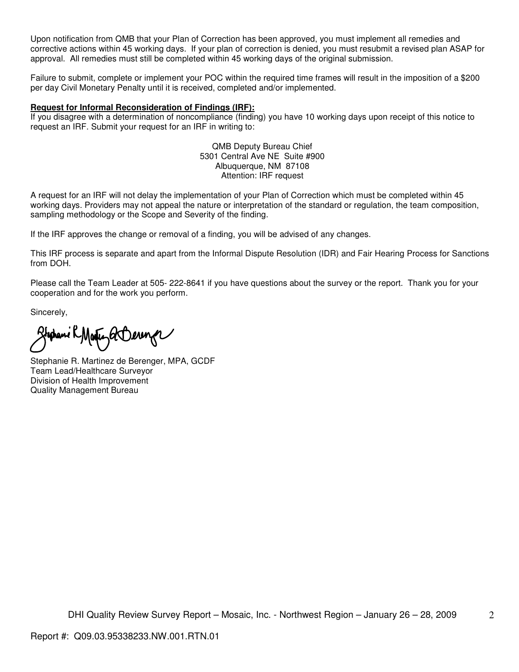Upon notification from QMB that your Plan of Correction has been approved, you must implement all remedies and corrective actions within 45 working days. If your plan of correction is denied, you must resubmit a revised plan ASAP for approval. All remedies must still be completed within 45 working days of the original submission.

Failure to submit, complete or implement your POC within the required time frames will result in the imposition of a \$200 per day Civil Monetary Penalty until it is received, completed and/or implemented.

#### **Request for Informal Reconsideration of Findings (IRF):**

If you disagree with a determination of noncompliance (finding) you have 10 working days upon receipt of this notice to request an IRF. Submit your request for an IRF in writing to:

> QMB Deputy Bureau Chief 5301 Central Ave NE Suite #900 Albuquerque, NM 87108 Attention: IRF request

A request for an IRF will not delay the implementation of your Plan of Correction which must be completed within 45 working days. Providers may not appeal the nature or interpretation of the standard or regulation, the team composition, sampling methodology or the Scope and Severity of the finding.

If the IRF approves the change or removal of a finding, you will be advised of any changes.

This IRF process is separate and apart from the Informal Dispute Resolution (IDR) and Fair Hearing Process for Sanctions from DOH.

Please call the Team Leader at 505- 222-8641 if you have questions about the survey or the report. Thank you for your cooperation and for the work you perform.

Sincerely,

Stephani RMarty a Derenge

Stephanie R. Martinez de Berenger, MPA, GCDF Team Lead/Healthcare Surveyor Division of Health Improvement Quality Management Bureau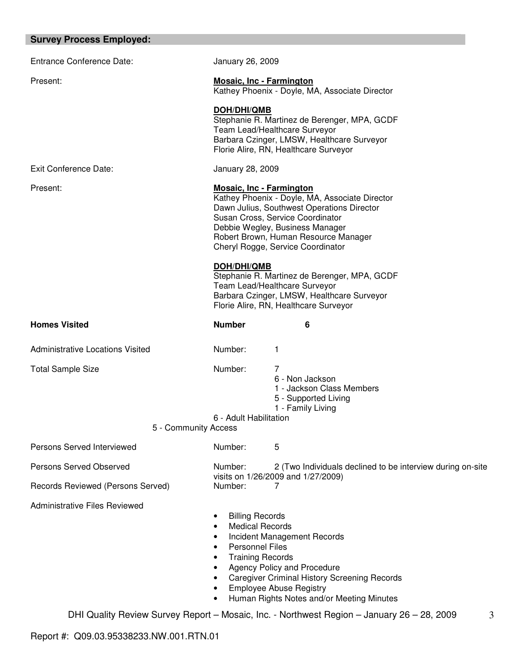| January 26, 2009                                                                                                                                                                                                                                                                    |                                                                                                                                                                      |  |
|-------------------------------------------------------------------------------------------------------------------------------------------------------------------------------------------------------------------------------------------------------------------------------------|----------------------------------------------------------------------------------------------------------------------------------------------------------------------|--|
| <b>Mosaic, Inc - Farmington</b>                                                                                                                                                                                                                                                     | Kathey Phoenix - Doyle, MA, Associate Director                                                                                                                       |  |
| DOH/DHI/QMB                                                                                                                                                                                                                                                                         | Stephanie R. Martinez de Berenger, MPA, GCDF<br>Team Lead/Healthcare Surveyor<br>Barbara Czinger, LMSW, Healthcare Surveyor<br>Florie Alire, RN, Healthcare Surveyor |  |
| January 28, 2009                                                                                                                                                                                                                                                                    |                                                                                                                                                                      |  |
| <b>Mosaic, Inc - Farmington</b><br>Kathey Phoenix - Doyle, MA, Associate Director<br>Dawn Julius, Southwest Operations Director<br>Susan Cross, Service Coordinator<br>Debbie Wegley, Business Manager<br>Robert Brown, Human Resource Manager<br>Cheryl Rogge, Service Coordinator |                                                                                                                                                                      |  |
| <b>DOH/DHI/QMB</b>                                                                                                                                                                                                                                                                  | Stephanie R. Martinez de Berenger, MPA, GCDF<br>Team Lead/Healthcare Surveyor<br>Barbara Czinger, LMSW, Healthcare Surveyor<br>Florie Alire, RN, Healthcare Surveyor |  |
| <b>Number</b>                                                                                                                                                                                                                                                                       | 6                                                                                                                                                                    |  |
| Number:                                                                                                                                                                                                                                                                             | 1                                                                                                                                                                    |  |
| Number:                                                                                                                                                                                                                                                                             | 7<br>6 - Non Jackson<br>1 - Jackson Class Members<br>5 - Supported Living<br>1 - Family Living                                                                       |  |
| 6 - Adult Habilitation                                                                                                                                                                                                                                                              |                                                                                                                                                                      |  |
| Number:                                                                                                                                                                                                                                                                             | 5                                                                                                                                                                    |  |
| Number:                                                                                                                                                                                                                                                                             | 2 (Two Individuals declined to be interview during on-site                                                                                                           |  |
| Number:                                                                                                                                                                                                                                                                             | visits on 1/26/2009 and 1/27/2009)<br>7                                                                                                                              |  |
| <b>Billing Records</b><br><b>Medical Records</b>                                                                                                                                                                                                                                    | Incident Management Records                                                                                                                                          |  |
|                                                                                                                                                                                                                                                                                     | 5 - Community Access                                                                                                                                                 |  |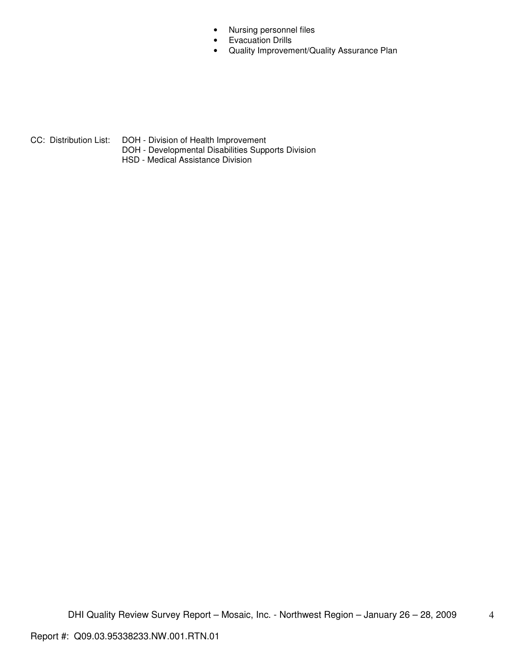- Nursing personnel files
- Evacuation Drills
- Quality Improvement/Quality Assurance Plan

CC: Distribution List: DOH - Division of Health Improvement DOH - Developmental Disabilities Supports Division

HSD - Medical Assistance Division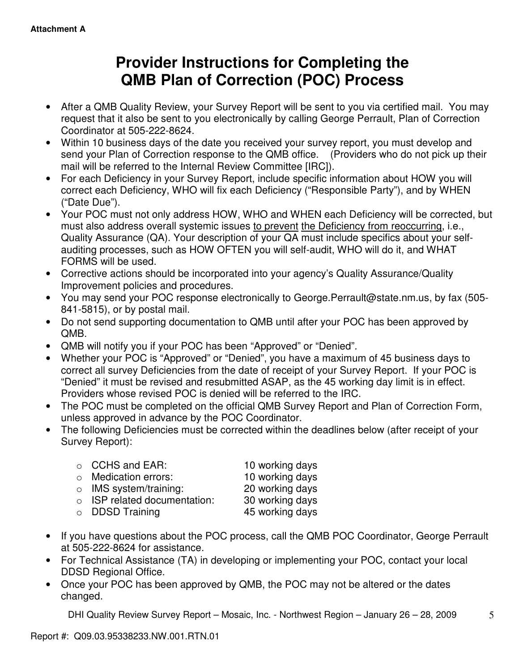# **Provider Instructions for Completing the QMB Plan of Correction (POC) Process**

- After a QMB Quality Review, your Survey Report will be sent to you via certified mail. You may request that it also be sent to you electronically by calling George Perrault, Plan of Correction Coordinator at 505-222-8624.
- Within 10 business days of the date you received your survey report, you must develop and send your Plan of Correction response to the QMB office. (Providers who do not pick up their mail will be referred to the Internal Review Committee [IRC]).
- For each Deficiency in your Survey Report, include specific information about HOW you will correct each Deficiency, WHO will fix each Deficiency ("Responsible Party"), and by WHEN ("Date Due").
- Your POC must not only address HOW, WHO and WHEN each Deficiency will be corrected, but must also address overall systemic issues to prevent the Deficiency from reoccurring, i.e., Quality Assurance (QA). Your description of your QA must include specifics about your selfauditing processes, such as HOW OFTEN you will self-audit, WHO will do it, and WHAT FORMS will be used.
- Corrective actions should be incorporated into your agency's Quality Assurance/Quality Improvement policies and procedures.
- You may send your POC response electronically to George.Perrault@state.nm.us, by fax (505- 841-5815), or by postal mail.
- Do not send supporting documentation to QMB until after your POC has been approved by QMB.
- QMB will notify you if your POC has been "Approved" or "Denied".
- Whether your POC is "Approved" or "Denied", you have a maximum of 45 business days to correct all survey Deficiencies from the date of receipt of your Survey Report. If your POC is "Denied" it must be revised and resubmitted ASAP, as the 45 working day limit is in effect. Providers whose revised POC is denied will be referred to the IRC.
- The POC must be completed on the official QMB Survey Report and Plan of Correction Form, unless approved in advance by the POC Coordinator.
- The following Deficiencies must be corrected within the deadlines below (after receipt of your Survey Report):

| $\circ$ CCHS and EAR:              | 10 working days |
|------------------------------------|-----------------|
| o Medication errors:               | 10 working days |
| $\circ$ IMS system/training:       | 20 working days |
| $\circ$ ISP related documentation: | 30 working days |
| o DDSD Training                    | 45 working days |

- If you have questions about the POC process, call the QMB POC Coordinator, George Perrault at 505-222-8624 for assistance.
- For Technical Assistance (TA) in developing or implementing your POC, contact your local DDSD Regional Office.
- Once your POC has been approved by QMB, the POC may not be altered or the dates changed.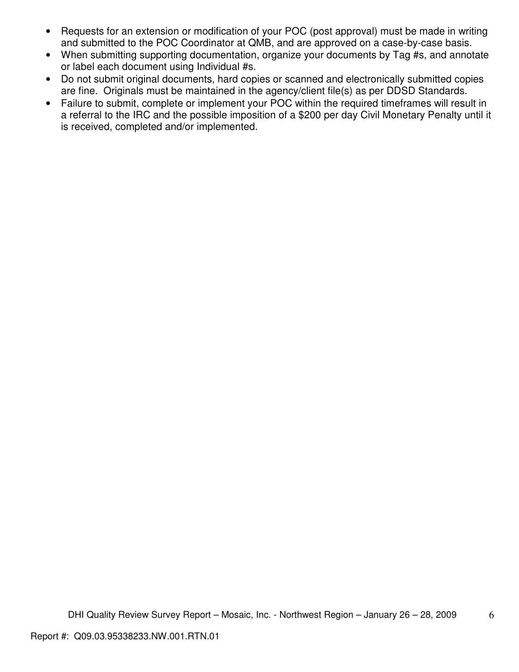- Requests for an extension or modification of your POC (post approval) must be made in writing and submitted to the POC Coordinator at QMB, and are approved on a case-by-case basis.
- When submitting supporting documentation, organize your documents by Tag #s, and annotate or label each document using Individual #s.
- Do not submit original documents, hard copies or scanned and electronically submitted copies are fine. Originals must be maintained in the agency/client file(s) as per DDSD Standards.
- Failure to submit, complete or implement your POC within the required timeframes will result in a referral to the IRC and the possible imposition of a \$200 per day Civil Monetary Penalty until it is received, completed and/or implemented.

6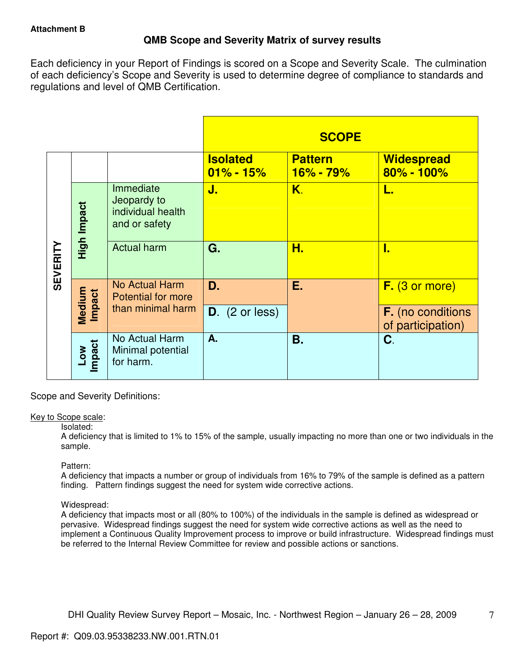# **QMB Scope and Severity Matrix of survey results**

Each deficiency in your Report of Findings is scored on a Scope and Severity Scale. The culmination of each deficiency's Scope and Severity is used to determine degree of compliance to standards and regulations and level of QMB Certification.

|                 |                  |                                                                |                                  | <b>SCOPE</b>                    |                                               |
|-----------------|------------------|----------------------------------------------------------------|----------------------------------|---------------------------------|-----------------------------------------------|
|                 |                  |                                                                | <b>Isolated</b><br>$01\% - 15\%$ | <b>Pattern</b><br>$16\% - 79\%$ | <b>Widespread</b><br>$80\% - 100\%$           |
| <b>SEVERITY</b> | High Impact      | Immediate<br>Jeopardy to<br>individual health<br>and or safety | J.                               | K.                              | L.                                            |
|                 |                  | <b>Actual harm</b>                                             | G.                               | Н.                              | I.                                            |
|                 | Medium<br>Impact | No Actual Harm<br><b>Potential for more</b>                    | D.                               | Е.                              | F. (3 or more)                                |
|                 |                  | than minimal harm                                              | $D.$ (2 or less)                 |                                 | <b>F.</b> (no conditions<br>of participation) |
|                 | Low<br>Impact    | No Actual Harm<br>Minimal potential<br>for harm.               | A.                               | Β.                              | C.                                            |

Scope and Severity Definitions:

## Key to Scope scale:

## Isolated:

A deficiency that is limited to 1% to 15% of the sample, usually impacting no more than one or two individuals in the sample.

## Pattern:

A deficiency that impacts a number or group of individuals from 16% to 79% of the sample is defined as a pattern finding. Pattern findings suggest the need for system wide corrective actions.

# Widespread:

A deficiency that impacts most or all (80% to 100%) of the individuals in the sample is defined as widespread or pervasive. Widespread findings suggest the need for system wide corrective actions as well as the need to implement a Continuous Quality Improvement process to improve or build infrastructure. Widespread findings must be referred to the Internal Review Committee for review and possible actions or sanctions.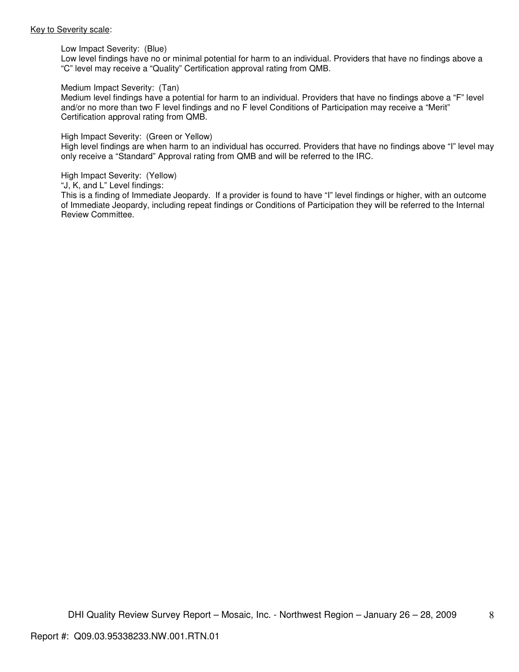#### Key to Severity scale:

Low Impact Severity: (Blue)

Low level findings have no or minimal potential for harm to an individual. Providers that have no findings above a "C" level may receive a "Quality" Certification approval rating from QMB.

#### Medium Impact Severity: (Tan)

Medium level findings have a potential for harm to an individual. Providers that have no findings above a "F" level and/or no more than two F level findings and no F level Conditions of Participation may receive a "Merit" Certification approval rating from QMB.

#### High Impact Severity: (Green or Yellow)

High level findings are when harm to an individual has occurred. Providers that have no findings above "I" level may only receive a "Standard" Approval rating from QMB and will be referred to the IRC.

#### High Impact Severity: (Yellow)

"J, K, and L" Level findings:

This is a finding of Immediate Jeopardy. If a provider is found to have "I" level findings or higher, with an outcome of Immediate Jeopardy, including repeat findings or Conditions of Participation they will be referred to the Internal Review Committee.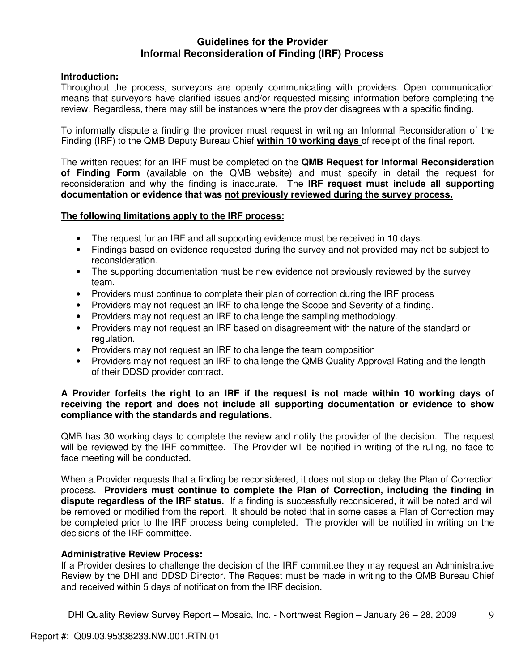# **Guidelines for the Provider Informal Reconsideration of Finding (IRF) Process**

# **Introduction:**

Throughout the process, surveyors are openly communicating with providers. Open communication means that surveyors have clarified issues and/or requested missing information before completing the review. Regardless, there may still be instances where the provider disagrees with a specific finding.

To informally dispute a finding the provider must request in writing an Informal Reconsideration of the Finding (IRF) to the QMB Deputy Bureau Chief **within 10 working days** of receipt of the final report.

The written request for an IRF must be completed on the **QMB Request for Informal Reconsideration of Finding Form** (available on the QMB website) and must specify in detail the request for reconsideration and why the finding is inaccurate. The **IRF request must include all supporting documentation or evidence that was not previously reviewed during the survey process.** 

# **The following limitations apply to the IRF process:**

- The request for an IRF and all supporting evidence must be received in 10 days.
- Findings based on evidence requested during the survey and not provided may not be subject to reconsideration.
- The supporting documentation must be new evidence not previously reviewed by the survey team.
- Providers must continue to complete their plan of correction during the IRF process
- Providers may not request an IRF to challenge the Scope and Severity of a finding.
- Providers may not request an IRF to challenge the sampling methodology.
- Providers may not request an IRF based on disagreement with the nature of the standard or regulation.
- Providers may not request an IRF to challenge the team composition
- Providers may not request an IRF to challenge the QMB Quality Approval Rating and the length of their DDSD provider contract.

# **A Provider forfeits the right to an IRF if the request is not made within 10 working days of receiving the report and does not include all supporting documentation or evidence to show compliance with the standards and regulations.**

QMB has 30 working days to complete the review and notify the provider of the decision. The request will be reviewed by the IRF committee. The Provider will be notified in writing of the ruling, no face to face meeting will be conducted.

When a Provider requests that a finding be reconsidered, it does not stop or delay the Plan of Correction process. **Providers must continue to complete the Plan of Correction, including the finding in dispute regardless of the IRF status.** If a finding is successfully reconsidered, it will be noted and will be removed or modified from the report. It should be noted that in some cases a Plan of Correction may be completed prior to the IRF process being completed. The provider will be notified in writing on the decisions of the IRF committee.

## **Administrative Review Process:**

If a Provider desires to challenge the decision of the IRF committee they may request an Administrative Review by the DHI and DDSD Director. The Request must be made in writing to the QMB Bureau Chief and received within 5 days of notification from the IRF decision.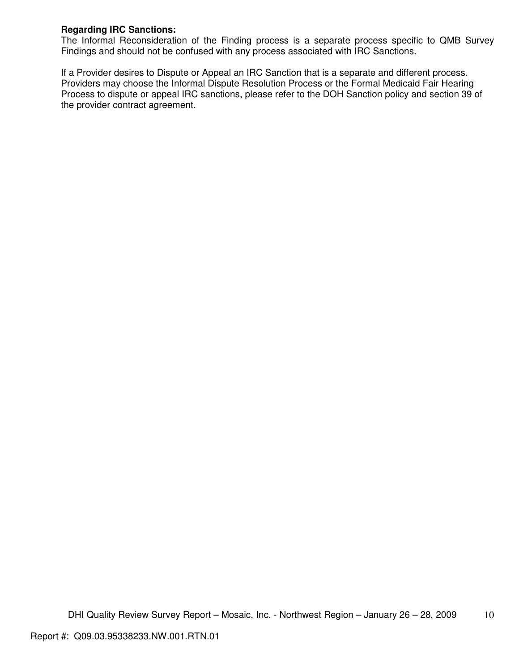# **Regarding IRC Sanctions:**

The Informal Reconsideration of the Finding process is a separate process specific to QMB Survey Findings and should not be confused with any process associated with IRC Sanctions.

If a Provider desires to Dispute or Appeal an IRC Sanction that is a separate and different process. Providers may choose the Informal Dispute Resolution Process or the Formal Medicaid Fair Hearing Process to dispute or appeal IRC sanctions, please refer to the DOH Sanction policy and section 39 of the provider contract agreement.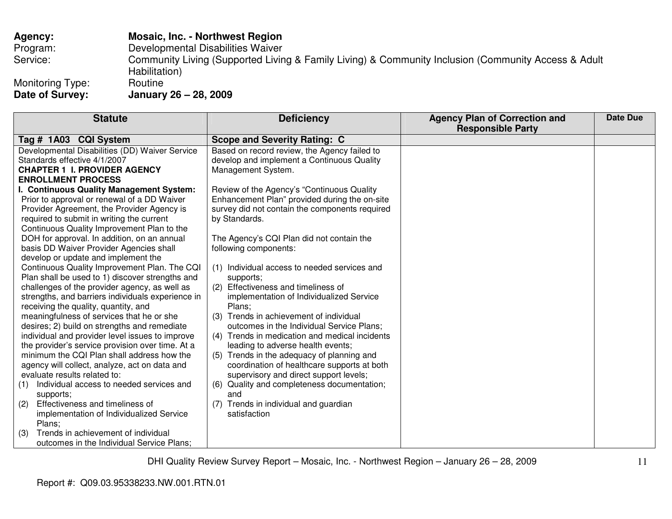# **Agency: Mosaic, Inc. - Northwest Region**  Program: Developmental Disabilities Waiver Service: Community Living (Supported Living & Family Living) & Community Inclusion (Community Access & Adult Habilitation)<br>Routine Monitoring Type:<br>Date of Survey: **Date of Survey: January 26 – 28, 2009**

| <b>Statute</b>                                                                            | <b>Deficiency</b>                                     | <b>Agency Plan of Correction and</b><br><b>Responsible Party</b> | Date Due |
|-------------------------------------------------------------------------------------------|-------------------------------------------------------|------------------------------------------------------------------|----------|
| Tag # 1A03 CQI System                                                                     | <b>Scope and Severity Rating: C</b>                   |                                                                  |          |
| Developmental Disabilities (DD) Waiver Service                                            | Based on record review, the Agency failed to          |                                                                  |          |
| Standards effective 4/1/2007                                                              | develop and implement a Continuous Quality            |                                                                  |          |
| <b>CHAPTER 1 I. PROVIDER AGENCY</b>                                                       | Management System.                                    |                                                                  |          |
| <b>ENROLLMENT PROCESS</b>                                                                 |                                                       |                                                                  |          |
| I. Continuous Quality Management System:                                                  | Review of the Agency's "Continuous Quality            |                                                                  |          |
| Prior to approval or renewal of a DD Waiver                                               | Enhancement Plan" provided during the on-site         |                                                                  |          |
| Provider Agreement, the Provider Agency is                                                | survey did not contain the components required        |                                                                  |          |
| required to submit in writing the current                                                 | by Standards.                                         |                                                                  |          |
| Continuous Quality Improvement Plan to the<br>DOH for approval. In addition, on an annual | The Agency's CQI Plan did not contain the             |                                                                  |          |
| basis DD Waiver Provider Agencies shall                                                   | following components:                                 |                                                                  |          |
| develop or update and implement the                                                       |                                                       |                                                                  |          |
| Continuous Quality Improvement Plan. The CQI                                              | (1) Individual access to needed services and          |                                                                  |          |
| Plan shall be used to 1) discover strengths and                                           | supports;                                             |                                                                  |          |
| challenges of the provider agency, as well as                                             | Effectiveness and timeliness of<br>(2)                |                                                                  |          |
| strengths, and barriers individuals experience in                                         | implementation of Individualized Service              |                                                                  |          |
| receiving the quality, quantity, and                                                      | Plans:                                                |                                                                  |          |
| meaningfulness of services that he or she                                                 | (3) Trends in achievement of individual               |                                                                  |          |
| desires; 2) build on strengths and remediate                                              | outcomes in the Individual Service Plans;             |                                                                  |          |
| individual and provider level issues to improve                                           | (4) Trends in medication and medical incidents        |                                                                  |          |
| the provider's service provision over time. At a                                          | leading to adverse health events;                     |                                                                  |          |
| minimum the CQI Plan shall address how the                                                | (5) Trends in the adequacy of planning and            |                                                                  |          |
| agency will collect, analyze, act on data and                                             | coordination of healthcare supports at both           |                                                                  |          |
| evaluate results related to:                                                              | supervisory and direct support levels;                |                                                                  |          |
| Individual access to needed services and<br>(1)<br>supports;                              | Quality and completeness documentation;<br>(6)<br>and |                                                                  |          |
| Effectiveness and timeliness of<br>(2)                                                    | Trends in individual and guardian<br>(7)              |                                                                  |          |
| implementation of Individualized Service                                                  | satisfaction                                          |                                                                  |          |
| Plans;                                                                                    |                                                       |                                                                  |          |
| Trends in achievement of individual<br>(3)                                                |                                                       |                                                                  |          |
| outcomes in the Individual Service Plans;                                                 |                                                       |                                                                  |          |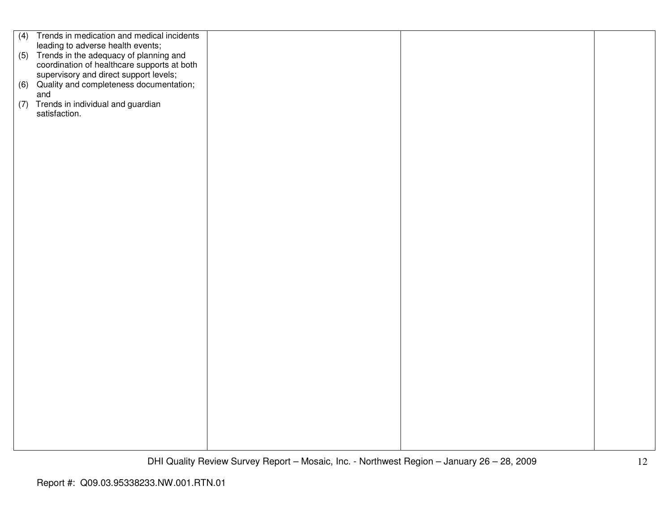|     | (4) Trends in medication and medical incidents                                                                                       |  |  |
|-----|--------------------------------------------------------------------------------------------------------------------------------------|--|--|
|     | leading to adverse health events;                                                                                                    |  |  |
|     | (5) Trends in the adequacy of planning and                                                                                           |  |  |
|     |                                                                                                                                      |  |  |
|     | coordination of healthcare supports at both<br>supervisory and direct support levels;<br>(6) Quality and completeness documentation; |  |  |
|     |                                                                                                                                      |  |  |
|     |                                                                                                                                      |  |  |
|     | and                                                                                                                                  |  |  |
|     |                                                                                                                                      |  |  |
| (7) | Trends in individual and guardian                                                                                                    |  |  |
|     | satisfaction.                                                                                                                        |  |  |
|     |                                                                                                                                      |  |  |
|     |                                                                                                                                      |  |  |
|     |                                                                                                                                      |  |  |
|     |                                                                                                                                      |  |  |
|     |                                                                                                                                      |  |  |
|     |                                                                                                                                      |  |  |
|     |                                                                                                                                      |  |  |
|     |                                                                                                                                      |  |  |
|     |                                                                                                                                      |  |  |
|     |                                                                                                                                      |  |  |
|     |                                                                                                                                      |  |  |
|     |                                                                                                                                      |  |  |
|     |                                                                                                                                      |  |  |
|     |                                                                                                                                      |  |  |
|     |                                                                                                                                      |  |  |
|     |                                                                                                                                      |  |  |
|     |                                                                                                                                      |  |  |
|     |                                                                                                                                      |  |  |
|     |                                                                                                                                      |  |  |
|     |                                                                                                                                      |  |  |
|     |                                                                                                                                      |  |  |
|     |                                                                                                                                      |  |  |
|     |                                                                                                                                      |  |  |
|     |                                                                                                                                      |  |  |
|     |                                                                                                                                      |  |  |
|     |                                                                                                                                      |  |  |
|     |                                                                                                                                      |  |  |
|     |                                                                                                                                      |  |  |
|     |                                                                                                                                      |  |  |
|     |                                                                                                                                      |  |  |
|     |                                                                                                                                      |  |  |
|     |                                                                                                                                      |  |  |
|     |                                                                                                                                      |  |  |
|     |                                                                                                                                      |  |  |
|     |                                                                                                                                      |  |  |
|     |                                                                                                                                      |  |  |
|     |                                                                                                                                      |  |  |
|     |                                                                                                                                      |  |  |
|     |                                                                                                                                      |  |  |
|     |                                                                                                                                      |  |  |
|     |                                                                                                                                      |  |  |
|     |                                                                                                                                      |  |  |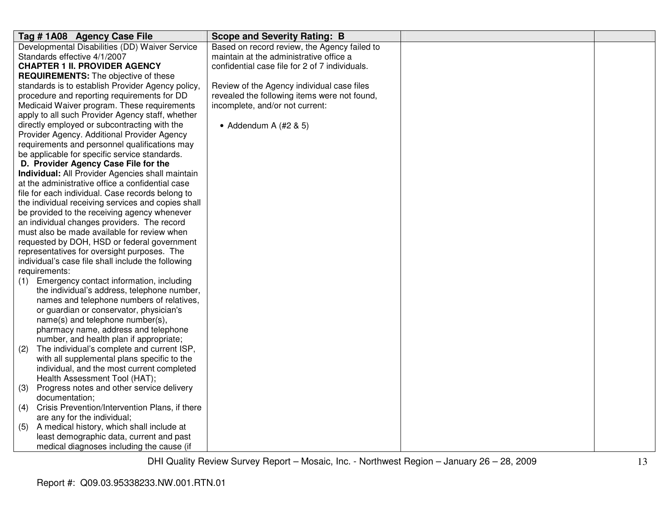| Tag #1A08 Agency Case File                            | <b>Scope and Severity Rating: B</b>            |  |
|-------------------------------------------------------|------------------------------------------------|--|
| Developmental Disabilities (DD) Waiver Service        | Based on record review, the Agency failed to   |  |
| Standards effective 4/1/2007                          | maintain at the administrative office a        |  |
| <b>CHAPTER 1 II. PROVIDER AGENCY</b>                  | confidential case file for 2 of 7 individuals. |  |
| <b>REQUIREMENTS:</b> The objective of these           |                                                |  |
| standards is to establish Provider Agency policy,     | Review of the Agency individual case files     |  |
| procedure and reporting requirements for DD           | revealed the following items were not found,   |  |
| Medicaid Waiver program. These requirements           | incomplete, and/or not current:                |  |
| apply to all such Provider Agency staff, whether      |                                                |  |
| directly employed or subcontracting with the          | • Addendum A $(H2 \& 5)$                       |  |
| Provider Agency. Additional Provider Agency           |                                                |  |
| requirements and personnel qualifications may         |                                                |  |
| be applicable for specific service standards.         |                                                |  |
| D. Provider Agency Case File for the                  |                                                |  |
| Individual: All Provider Agencies shall maintain      |                                                |  |
| at the administrative office a confidential case      |                                                |  |
| file for each individual. Case records belong to      |                                                |  |
| the individual receiving services and copies shall    |                                                |  |
| be provided to the receiving agency whenever          |                                                |  |
| an individual changes providers. The record           |                                                |  |
| must also be made available for review when           |                                                |  |
| requested by DOH, HSD or federal government           |                                                |  |
| representatives for oversight purposes. The           |                                                |  |
| individual's case file shall include the following    |                                                |  |
| requirements:                                         |                                                |  |
| Emergency contact information, including<br>(1)       |                                                |  |
| the individual's address, telephone number,           |                                                |  |
| names and telephone numbers of relatives,             |                                                |  |
| or guardian or conservator, physician's               |                                                |  |
| name(s) and telephone number(s),                      |                                                |  |
| pharmacy name, address and telephone                  |                                                |  |
| number, and health plan if appropriate;               |                                                |  |
| The individual's complete and current ISP,<br>(2)     |                                                |  |
| with all supplemental plans specific to the           |                                                |  |
| individual, and the most current completed            |                                                |  |
| Health Assessment Tool (HAT);                         |                                                |  |
| (3)<br>Progress notes and other service delivery      |                                                |  |
| documentation;                                        |                                                |  |
| Crisis Prevention/Intervention Plans, if there<br>(4) |                                                |  |
| are any for the individual;                           |                                                |  |
| A medical history, which shall include at<br>(5)      |                                                |  |
| least demographic data, current and past              |                                                |  |
| medical diagnoses including the cause (if             |                                                |  |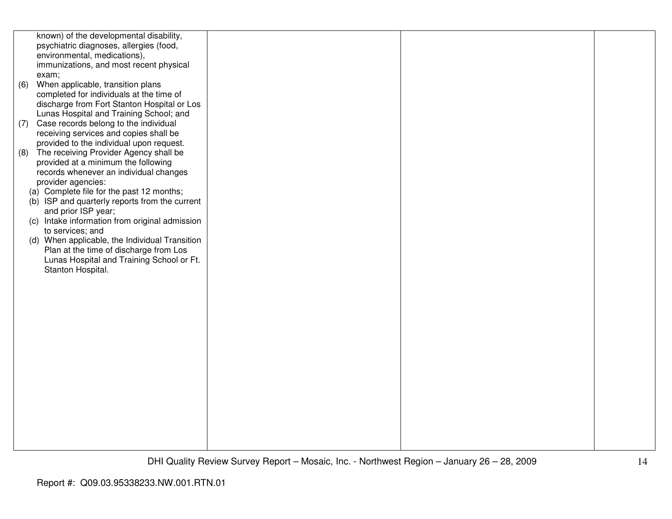|     | known) of the developmental disability,        |  |  |
|-----|------------------------------------------------|--|--|
|     | psychiatric diagnoses, allergies (food,        |  |  |
|     | environmental, medications),                   |  |  |
|     |                                                |  |  |
|     | immunizations, and most recent physical        |  |  |
|     | exam;                                          |  |  |
| (6) | When applicable, transition plans              |  |  |
|     | completed for individuals at the time of       |  |  |
|     | discharge from Fort Stanton Hospital or Los    |  |  |
|     | Lunas Hospital and Training School; and        |  |  |
| (7) | Case records belong to the individual          |  |  |
|     | receiving services and copies shall be         |  |  |
|     | provided to the individual upon request.       |  |  |
| (8) | The receiving Provider Agency shall be         |  |  |
|     | provided at a minimum the following            |  |  |
|     |                                                |  |  |
|     | records whenever an individual changes         |  |  |
|     | provider agencies:                             |  |  |
|     | (a) Complete file for the past 12 months;      |  |  |
|     | (b) ISP and quarterly reports from the current |  |  |
|     | and prior ISP year;                            |  |  |
|     | (c) Intake information from original admission |  |  |
|     | to services; and                               |  |  |
|     | (d) When applicable, the Individual Transition |  |  |
|     | Plan at the time of discharge from Los         |  |  |
|     | Lunas Hospital and Training School or Ft.      |  |  |
|     | Stanton Hospital.                              |  |  |
|     |                                                |  |  |
|     |                                                |  |  |
|     |                                                |  |  |
|     |                                                |  |  |
|     |                                                |  |  |
|     |                                                |  |  |
|     |                                                |  |  |
|     |                                                |  |  |
|     |                                                |  |  |
|     |                                                |  |  |
|     |                                                |  |  |
|     |                                                |  |  |
|     |                                                |  |  |
|     |                                                |  |  |
|     |                                                |  |  |
|     |                                                |  |  |
|     |                                                |  |  |
|     |                                                |  |  |
|     |                                                |  |  |
|     |                                                |  |  |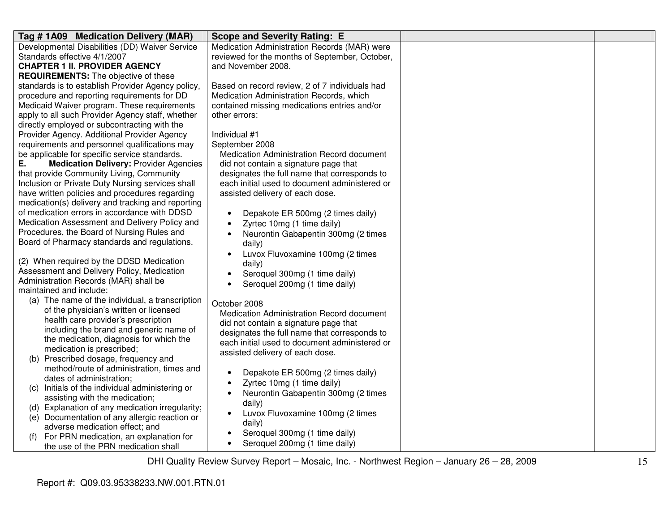| Tag # 1A09 Medication Delivery (MAR)                | <b>Scope and Severity Rating: E</b>            |  |
|-----------------------------------------------------|------------------------------------------------|--|
| Developmental Disabilities (DD) Waiver Service      | Medication Administration Records (MAR) were   |  |
| Standards effective 4/1/2007                        | reviewed for the months of September, October, |  |
| <b>CHAPTER 1 II. PROVIDER AGENCY</b>                | and November 2008.                             |  |
| <b>REQUIREMENTS:</b> The objective of these         |                                                |  |
| standards is to establish Provider Agency policy,   | Based on record review, 2 of 7 individuals had |  |
| procedure and reporting requirements for DD         | Medication Administration Records, which       |  |
| Medicaid Waiver program. These requirements         | contained missing medications entries and/or   |  |
| apply to all such Provider Agency staff, whether    | other errors:                                  |  |
| directly employed or subcontracting with the        |                                                |  |
| Provider Agency. Additional Provider Agency         | Individual #1                                  |  |
| requirements and personnel qualifications may       | September 2008                                 |  |
| be applicable for specific service standards.       | Medication Administration Record document      |  |
| <b>Medication Delivery: Provider Agencies</b><br>Е. | did not contain a signature page that          |  |
| that provide Community Living, Community            | designates the full name that corresponds to   |  |
| Inclusion or Private Duty Nursing services shall    | each initial used to document administered or  |  |
| have written policies and procedures regarding      | assisted delivery of each dose.                |  |
| medication(s) delivery and tracking and reporting   |                                                |  |
| of medication errors in accordance with DDSD        | Depakote ER 500mg (2 times daily)<br>$\bullet$ |  |
| Medication Assessment and Delivery Policy and       | Zyrtec 10mg (1 time daily)                     |  |
| Procedures, the Board of Nursing Rules and          | Neurontin Gabapentin 300mg (2 times            |  |
| Board of Pharmacy standards and regulations.        | daily)                                         |  |
|                                                     | Luvox Fluvoxamine 100mg (2 times<br>$\bullet$  |  |
| (2) When required by the DDSD Medication            | daily)                                         |  |
| Assessment and Delivery Policy, Medication          | Seroquel 300mg (1 time daily)<br>$\bullet$     |  |
| Administration Records (MAR) shall be               | Seroquel 200mg (1 time daily)                  |  |
| maintained and include:                             |                                                |  |
| (a) The name of the individual, a transcription     | October 2008                                   |  |
| of the physician's written or licensed              | Medication Administration Record document      |  |
| health care provider's prescription                 | did not contain a signature page that          |  |
| including the brand and generic name of             | designates the full name that corresponds to   |  |
| the medication, diagnosis for which the             | each initial used to document administered or  |  |
| medication is prescribed;                           | assisted delivery of each dose.                |  |
| (b) Prescribed dosage, frequency and                |                                                |  |
| method/route of administration, times and           | Depakote ER 500mg (2 times daily)              |  |
| dates of administration;                            | Zyrtec 10mg (1 time daily)                     |  |
| Initials of the individual administering or<br>(C)  | Neurontin Gabapentin 300mg (2 times            |  |
| assisting with the medication;                      | daily)                                         |  |
| (d) Explanation of any medication irregularity;     | Luvox Fluvoxamine 100mg (2 times               |  |
| (e) Documentation of any allergic reaction or       | daily)                                         |  |
| adverse medication effect; and                      | Seroquel 300mg (1 time daily)                  |  |
| For PRN medication, an explanation for              | Seroquel 200mg (1 time daily)                  |  |
| the use of the PRN medication shall                 |                                                |  |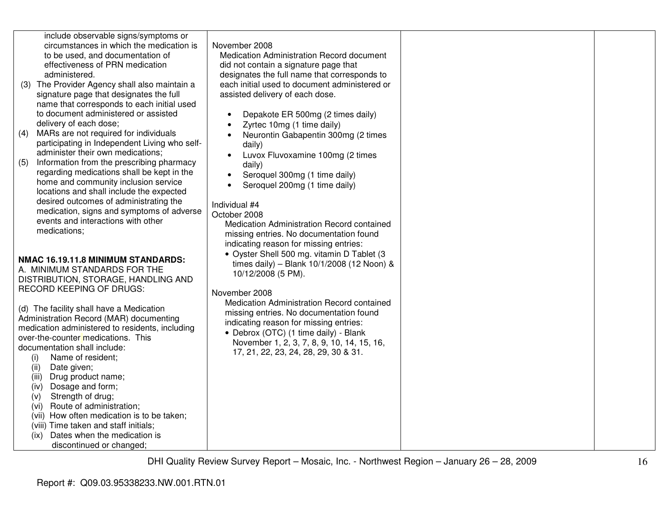| administered.<br>(4)<br>(5)<br>medications; | include observable signs/symptoms or<br>circumstances in which the medication is<br>to be used, and documentation of<br>effectiveness of PRN medication<br>(3) The Provider Agency shall also maintain a<br>signature page that designates the full<br>name that corresponds to each initial used<br>to document administered or assisted<br>delivery of each dose;<br>MARs are not required for individuals<br>participating in Independent Living who self-<br>administer their own medications;<br>Information from the prescribing pharmacy<br>regarding medications shall be kept in the<br>home and community inclusion service<br>locations and shall include the expected<br>desired outcomes of administrating the<br>medication, signs and symptoms of adverse<br>events and interactions with other | November 2008<br>Medication Administration Record document<br>did not contain a signature page that<br>designates the full name that corresponds to<br>each initial used to document administered or<br>assisted delivery of each dose.<br>Depakote ER 500mg (2 times daily)<br>Zyrtec 10mg (1 time daily)<br>Neurontin Gabapentin 300mg (2 times<br>daily)<br>Luvox Fluvoxamine 100mg (2 times<br>daily)<br>Seroquel 300mg (1 time daily)<br>Seroquel 200mg (1 time daily)<br>Individual #4<br>October 2008<br>Medication Administration Record contained<br>missing entries. No documentation found<br>indicating reason for missing entries: |  |
|---------------------------------------------|----------------------------------------------------------------------------------------------------------------------------------------------------------------------------------------------------------------------------------------------------------------------------------------------------------------------------------------------------------------------------------------------------------------------------------------------------------------------------------------------------------------------------------------------------------------------------------------------------------------------------------------------------------------------------------------------------------------------------------------------------------------------------------------------------------------|-------------------------------------------------------------------------------------------------------------------------------------------------------------------------------------------------------------------------------------------------------------------------------------------------------------------------------------------------------------------------------------------------------------------------------------------------------------------------------------------------------------------------------------------------------------------------------------------------------------------------------------------------|--|
| (i)<br>(ii)<br>(iii)                        | NMAC 16.19.11.8 MINIMUM STANDARDS:<br>A. MINIMUM STANDARDS FOR THE<br>DISTRIBUTION, STORAGE, HANDLING AND<br>RECORD KEEPING OF DRUGS:<br>(d) The facility shall have a Medication<br>Administration Record (MAR) documenting<br>medication administered to residents, including<br>over-the-counter medications. This<br>documentation shall include:<br>Name of resident;<br>Date given;<br>Drug product name;                                                                                                                                                                                                                                                                                                                                                                                                | • Oyster Shell 500 mg. vitamin D Tablet (3<br>times daily) - Blank 10/1/2008 (12 Noon) &<br>10/12/2008 (5 PM).<br>November 2008<br>Medication Administration Record contained<br>missing entries. No documentation found<br>indicating reason for missing entries:<br>• Debrox (OTC) (1 time daily) - Blank<br>November 1, 2, 3, 7, 8, 9, 10, 14, 15, 16,<br>17, 21, 22, 23, 24, 28, 29, 30 & 31.                                                                                                                                                                                                                                               |  |
| (iv)<br>(v)<br>(vi)<br>(ix)                 | Dosage and form;<br>Strength of drug;<br>Route of administration;<br>(vii) How often medication is to be taken;<br>(viii) Time taken and staff initials;<br>Dates when the medication is<br>discontinued or changed;                                                                                                                                                                                                                                                                                                                                                                                                                                                                                                                                                                                           |                                                                                                                                                                                                                                                                                                                                                                                                                                                                                                                                                                                                                                                 |  |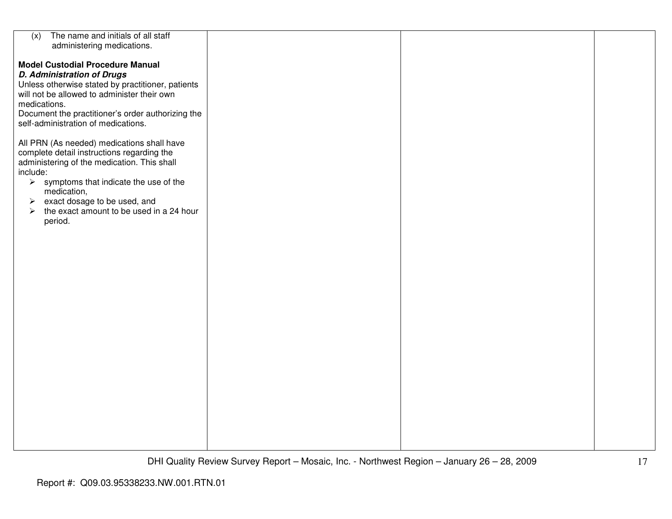| The name and initials of all staff<br>(x)                         |  |  |
|-------------------------------------------------------------------|--|--|
|                                                                   |  |  |
| administering medications.                                        |  |  |
|                                                                   |  |  |
| <b>Model Custodial Procedure Manual</b>                           |  |  |
|                                                                   |  |  |
| <b>D. Administration of Drugs</b>                                 |  |  |
| Unless otherwise stated by practitioner, patients                 |  |  |
|                                                                   |  |  |
| will not be allowed to administer their own                       |  |  |
| medications.                                                      |  |  |
|                                                                   |  |  |
| Document the practitioner's order authorizing the                 |  |  |
| self-administration of medications.                               |  |  |
|                                                                   |  |  |
|                                                                   |  |  |
| All PRN (As needed) medications shall have                        |  |  |
|                                                                   |  |  |
| complete detail instructions regarding the                        |  |  |
| administering of the medication. This shall                       |  |  |
|                                                                   |  |  |
| include:                                                          |  |  |
| $\triangleright$ symptoms that indicate the use of the            |  |  |
|                                                                   |  |  |
| medication,                                                       |  |  |
| $\triangleright$ exact dosage to be used, and                     |  |  |
|                                                                   |  |  |
| the exact amount to be used in a 24 hour<br>$\blacktriangleright$ |  |  |
| period.                                                           |  |  |
|                                                                   |  |  |
|                                                                   |  |  |
|                                                                   |  |  |
|                                                                   |  |  |
|                                                                   |  |  |
|                                                                   |  |  |
|                                                                   |  |  |
|                                                                   |  |  |
|                                                                   |  |  |
|                                                                   |  |  |
|                                                                   |  |  |
|                                                                   |  |  |
|                                                                   |  |  |
|                                                                   |  |  |
|                                                                   |  |  |
|                                                                   |  |  |
|                                                                   |  |  |
|                                                                   |  |  |
|                                                                   |  |  |
|                                                                   |  |  |
|                                                                   |  |  |
|                                                                   |  |  |
|                                                                   |  |  |
|                                                                   |  |  |
|                                                                   |  |  |
|                                                                   |  |  |
|                                                                   |  |  |
|                                                                   |  |  |
|                                                                   |  |  |
|                                                                   |  |  |
|                                                                   |  |  |
|                                                                   |  |  |
|                                                                   |  |  |
|                                                                   |  |  |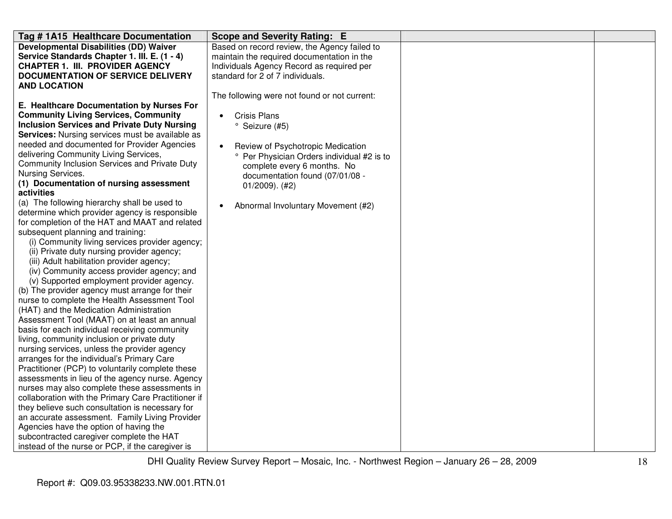| Tag # 1A15 Healthcare Documentation                 | <b>Scope and Severity Rating: E</b>             |  |
|-----------------------------------------------------|-------------------------------------------------|--|
| <b>Developmental Disabilities (DD) Waiver</b>       | Based on record review, the Agency failed to    |  |
| Service Standards Chapter 1. III. E. (1 - 4)        | maintain the required documentation in the      |  |
| <b>CHAPTER 1. III. PROVIDER AGENCY</b>              | Individuals Agency Record as required per       |  |
| <b>DOCUMENTATION OF SERVICE DELIVERY</b>            | standard for 2 of 7 individuals.                |  |
| <b>AND LOCATION</b>                                 |                                                 |  |
|                                                     | The following were not found or not current:    |  |
| E. Healthcare Documentation by Nurses For           |                                                 |  |
| <b>Community Living Services, Community</b>         | <b>Crisis Plans</b><br>$\bullet$                |  |
| <b>Inclusion Services and Private Duty Nursing</b>  | ° Seizure (#5)                                  |  |
| Services: Nursing services must be available as     |                                                 |  |
| needed and documented for Provider Agencies         | Review of Psychotropic Medication<br>$\bullet$  |  |
| delivering Community Living Services,               | ° Per Physician Orders individual #2 is to      |  |
| Community Inclusion Services and Private Duty       | complete every 6 months. No                     |  |
| Nursing Services.                                   | documentation found (07/01/08 -                 |  |
| (1) Documentation of nursing assessment             | $01/2009$ . (#2)                                |  |
| activities                                          |                                                 |  |
| (a) The following hierarchy shall be used to        | Abnormal Involuntary Movement (#2)<br>$\bullet$ |  |
| determine which provider agency is responsible      |                                                 |  |
| for completion of the HAT and MAAT and related      |                                                 |  |
| subsequent planning and training:                   |                                                 |  |
| (i) Community living services provider agency;      |                                                 |  |
| (ii) Private duty nursing provider agency;          |                                                 |  |
| (iii) Adult habilitation provider agency;           |                                                 |  |
| (iv) Community access provider agency; and          |                                                 |  |
| (v) Supported employment provider agency.           |                                                 |  |
| (b) The provider agency must arrange for their      |                                                 |  |
| nurse to complete the Health Assessment Tool        |                                                 |  |
| (HAT) and the Medication Administration             |                                                 |  |
| Assessment Tool (MAAT) on at least an annual        |                                                 |  |
| basis for each individual receiving community       |                                                 |  |
| living, community inclusion or private duty         |                                                 |  |
| nursing services, unless the provider agency        |                                                 |  |
| arranges for the individual's Primary Care          |                                                 |  |
| Practitioner (PCP) to voluntarily complete these    |                                                 |  |
| assessments in lieu of the agency nurse. Agency     |                                                 |  |
| nurses may also complete these assessments in       |                                                 |  |
| collaboration with the Primary Care Practitioner if |                                                 |  |
| they believe such consultation is necessary for     |                                                 |  |
| an accurate assessment. Family Living Provider      |                                                 |  |
| Agencies have the option of having the              |                                                 |  |
| subcontracted caregiver complete the HAT            |                                                 |  |
| instead of the nurse or PCP, if the caregiver is    |                                                 |  |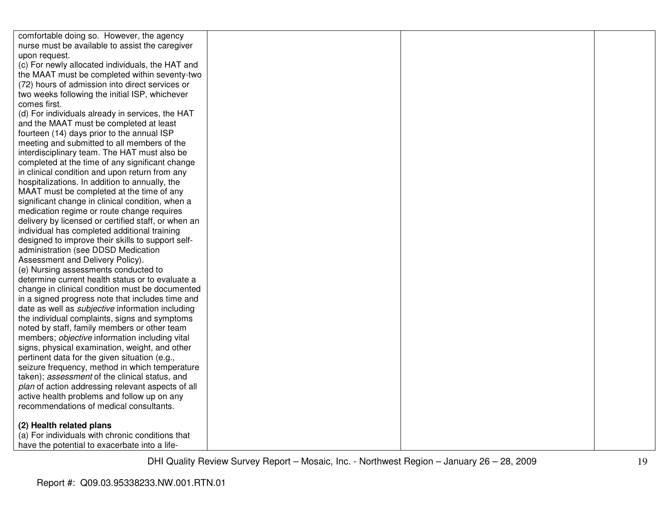| comfortable doing so. However, the agency               |  |  |
|---------------------------------------------------------|--|--|
| nurse must be available to assist the caregiver         |  |  |
| upon request.                                           |  |  |
| (c) For newly allocated individuals, the HAT and        |  |  |
| the MAAT must be completed within seventy-two           |  |  |
| (72) hours of admission into direct services or         |  |  |
| two weeks following the initial ISP, whichever          |  |  |
| comes first.                                            |  |  |
| (d) For individuals already in services, the HAT        |  |  |
| and the MAAT must be completed at least                 |  |  |
| fourteen (14) days prior to the annual ISP              |  |  |
| meeting and submitted to all members of the             |  |  |
| interdisciplinary team. The HAT must also be            |  |  |
| completed at the time of any significant change         |  |  |
| in clinical condition and upon return from any          |  |  |
| hospitalizations. In addition to annually, the          |  |  |
| MAAT must be completed at the time of any               |  |  |
| significant change in clinical condition, when a        |  |  |
| medication regime or route change requires              |  |  |
| delivery by licensed or certified staff, or when an     |  |  |
| individual has completed additional training            |  |  |
| designed to improve their skills to support self-       |  |  |
| administration (see DDSD Medication                     |  |  |
| Assessment and Delivery Policy).                        |  |  |
| (e) Nursing assessments conducted to                    |  |  |
| determine current health status or to evaluate a        |  |  |
| change in clinical condition must be documented         |  |  |
| in a signed progress note that includes time and        |  |  |
| date as well as <i>subjective</i> information including |  |  |
| the individual complaints, signs and symptoms           |  |  |
| noted by staff, family members or other team            |  |  |
| members; objective information including vital          |  |  |
| signs, physical examination, weight, and other          |  |  |
| pertinent data for the given situation (e.g.,           |  |  |
| seizure frequency, method in which temperature          |  |  |
| taken); assessment of the clinical status, and          |  |  |
| plan of action addressing relevant aspects of all       |  |  |
| active health problems and follow up on any             |  |  |
| recommendations of medical consultants.                 |  |  |
| (2) Health related plans                                |  |  |
| (a) For individuals with chronic conditions that        |  |  |
| have the potential to exacerbate into a life-           |  |  |
|                                                         |  |  |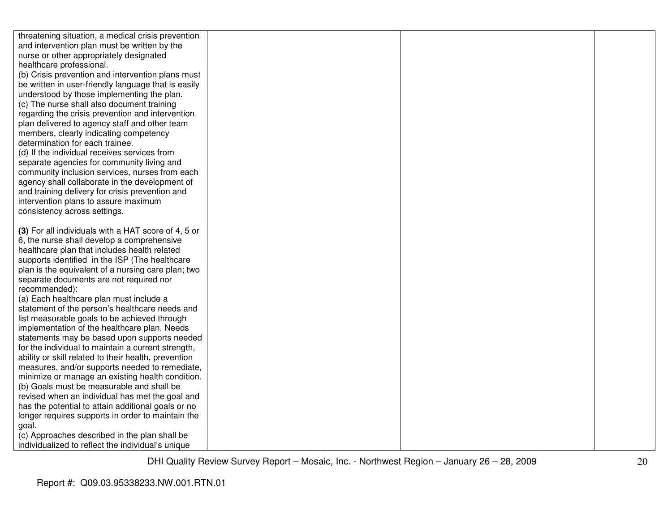| threatening situation, a medical crisis prevention       |  |  |
|----------------------------------------------------------|--|--|
| and intervention plan must be written by the             |  |  |
| nurse or other appropriately designated                  |  |  |
| healthcare professional.                                 |  |  |
| (b) Crisis prevention and intervention plans must        |  |  |
| be written in user-friendly language that is easily      |  |  |
| understood by those implementing the plan.               |  |  |
| (c) The nurse shall also document training               |  |  |
| regarding the crisis prevention and intervention         |  |  |
| plan delivered to agency staff and other team            |  |  |
| members, clearly indicating competency                   |  |  |
| determination for each trainee.                          |  |  |
| (d) If the individual receives services from             |  |  |
| separate agencies for community living and               |  |  |
| community inclusion services, nurses from each           |  |  |
| agency shall collaborate in the development of           |  |  |
| and training delivery for crisis prevention and          |  |  |
| intervention plans to assure maximum                     |  |  |
| consistency across settings.                             |  |  |
|                                                          |  |  |
| (3) For all individuals with a HAT score of 4, 5 or      |  |  |
| 6, the nurse shall develop a comprehensive               |  |  |
| healthcare plan that includes health related             |  |  |
| supports identified in the ISP (The healthcare           |  |  |
| plan is the equivalent of a nursing care plan; two       |  |  |
| separate documents are not required nor<br>recommended): |  |  |
| (a) Each healthcare plan must include a                  |  |  |
| statement of the person's healthcare needs and           |  |  |
| list measurable goals to be achieved through             |  |  |
| implementation of the healthcare plan. Needs             |  |  |
| statements may be based upon supports needed             |  |  |
| for the individual to maintain a current strength,       |  |  |
| ability or skill related to their health, prevention     |  |  |
| measures, and/or supports needed to remediate,           |  |  |
| minimize or manage an existing health condition.         |  |  |
| (b) Goals must be measurable and shall be                |  |  |
| revised when an individual has met the goal and          |  |  |
| has the potential to attain additional goals or no       |  |  |
| longer requires supports in order to maintain the        |  |  |
| goal.                                                    |  |  |
| (c) Approaches described in the plan shall be            |  |  |
| individualized to reflect the individual's unique        |  |  |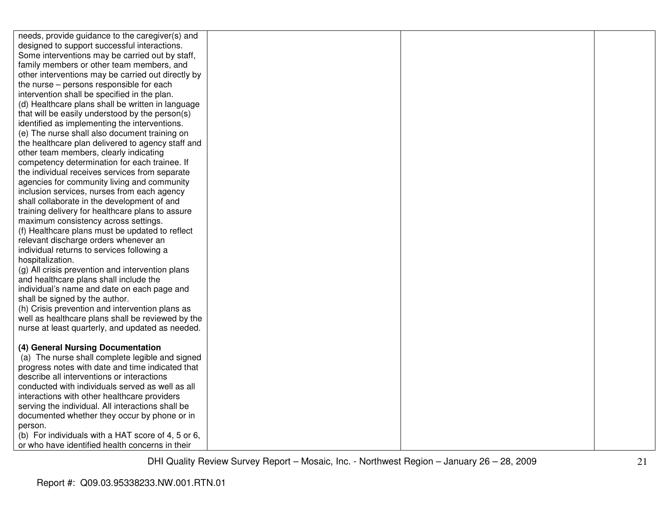| needs, provide guidance to the caregiver(s) and    |  |  |
|----------------------------------------------------|--|--|
| designed to support successful interactions.       |  |  |
| Some interventions may be carried out by staff,    |  |  |
| family members or other team members, and          |  |  |
| other interventions may be carried out directly by |  |  |
| the nurse - persons responsible for each           |  |  |
| intervention shall be specified in the plan.       |  |  |
| (d) Healthcare plans shall be written in language  |  |  |
| that will be easily understood by the person(s)    |  |  |
| identified as implementing the interventions.      |  |  |
| (e) The nurse shall also document training on      |  |  |
| the healthcare plan delivered to agency staff and  |  |  |
| other team members, clearly indicating             |  |  |
| competency determination for each trainee. If      |  |  |
| the individual receives services from separate     |  |  |
| agencies for community living and community        |  |  |
| inclusion services, nurses from each agency        |  |  |
| shall collaborate in the development of and        |  |  |
| training delivery for healthcare plans to assure   |  |  |
| maximum consistency across settings.               |  |  |
| (f) Healthcare plans must be updated to reflect    |  |  |
| relevant discharge orders whenever an              |  |  |
| individual returns to services following a         |  |  |
| hospitalization.                                   |  |  |
| (g) All crisis prevention and intervention plans   |  |  |
| and healthcare plans shall include the             |  |  |
| individual's name and date on each page and        |  |  |
| shall be signed by the author.                     |  |  |
| (h) Crisis prevention and intervention plans as    |  |  |
| well as healthcare plans shall be reviewed by the  |  |  |
| nurse at least quarterly, and updated as needed.   |  |  |
|                                                    |  |  |
| (4) General Nursing Documentation                  |  |  |
| (a) The nurse shall complete legible and signed    |  |  |
| progress notes with date and time indicated that   |  |  |
| describe all interventions or interactions         |  |  |
| conducted with individuals served as well as all   |  |  |
| interactions with other healthcare providers       |  |  |
| serving the individual. All interactions shall be  |  |  |
| documented whether they occur by phone or in       |  |  |
| person.                                            |  |  |
| (b) For individuals with a HAT score of 4, 5 or 6, |  |  |
| or who have identified health concerns in their    |  |  |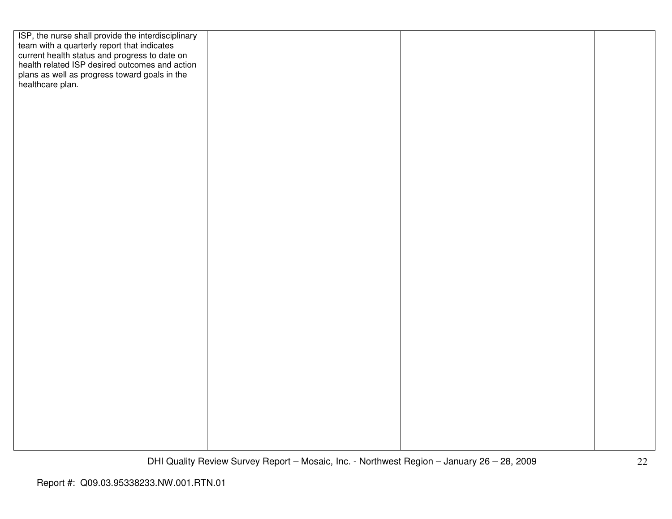| ISP, the nurse shall provide the interdisciplinary<br>team with a quarterly report that indicates<br>current health status and progress to date on<br>health related ISP desired outcomes and action |  |  |
|------------------------------------------------------------------------------------------------------------------------------------------------------------------------------------------------------|--|--|
|                                                                                                                                                                                                      |  |  |
|                                                                                                                                                                                                      |  |  |
| plans as well as progress toward goals in the                                                                                                                                                        |  |  |
| healthcare plan.                                                                                                                                                                                     |  |  |
|                                                                                                                                                                                                      |  |  |
|                                                                                                                                                                                                      |  |  |
|                                                                                                                                                                                                      |  |  |
|                                                                                                                                                                                                      |  |  |
|                                                                                                                                                                                                      |  |  |
|                                                                                                                                                                                                      |  |  |
|                                                                                                                                                                                                      |  |  |
|                                                                                                                                                                                                      |  |  |
|                                                                                                                                                                                                      |  |  |
|                                                                                                                                                                                                      |  |  |
|                                                                                                                                                                                                      |  |  |
|                                                                                                                                                                                                      |  |  |
|                                                                                                                                                                                                      |  |  |
|                                                                                                                                                                                                      |  |  |
|                                                                                                                                                                                                      |  |  |
|                                                                                                                                                                                                      |  |  |
|                                                                                                                                                                                                      |  |  |
|                                                                                                                                                                                                      |  |  |
|                                                                                                                                                                                                      |  |  |
|                                                                                                                                                                                                      |  |  |
|                                                                                                                                                                                                      |  |  |
|                                                                                                                                                                                                      |  |  |
|                                                                                                                                                                                                      |  |  |
|                                                                                                                                                                                                      |  |  |
|                                                                                                                                                                                                      |  |  |
|                                                                                                                                                                                                      |  |  |
|                                                                                                                                                                                                      |  |  |
|                                                                                                                                                                                                      |  |  |
|                                                                                                                                                                                                      |  |  |
|                                                                                                                                                                                                      |  |  |
|                                                                                                                                                                                                      |  |  |
|                                                                                                                                                                                                      |  |  |
|                                                                                                                                                                                                      |  |  |
|                                                                                                                                                                                                      |  |  |
|                                                                                                                                                                                                      |  |  |
|                                                                                                                                                                                                      |  |  |
|                                                                                                                                                                                                      |  |  |
|                                                                                                                                                                                                      |  |  |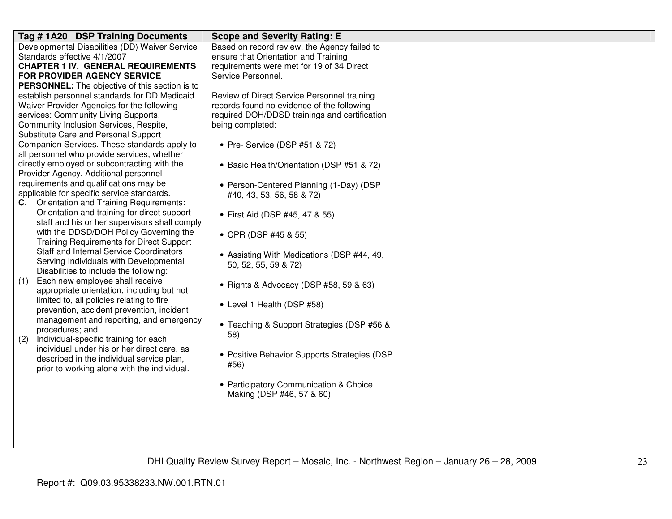| Developmental Disabilities (DD) Waiver Service<br>Based on record review, the Agency failed to                                  |  |
|---------------------------------------------------------------------------------------------------------------------------------|--|
| Standards effective 4/1/2007<br>ensure that Orientation and Training                                                            |  |
| <b>CHAPTER 1 IV. GENERAL REQUIREMENTS</b><br>requirements were met for 19 of 34 Direct                                          |  |
| <b>FOR PROVIDER AGENCY SERVICE</b><br>Service Personnel.                                                                        |  |
| <b>PERSONNEL:</b> The objective of this section is to                                                                           |  |
| establish personnel standards for DD Medicaid<br>Review of Direct Service Personnel training                                    |  |
| Waiver Provider Agencies for the following<br>records found no evidence of the following                                        |  |
| services: Community Living Supports,<br>required DOH/DDSD trainings and certification                                           |  |
| Community Inclusion Services, Respite,<br>being completed:                                                                      |  |
| Substitute Care and Personal Support                                                                                            |  |
| Companion Services. These standards apply to<br>• Pre- Service (DSP #51 & 72)                                                   |  |
| all personnel who provide services, whether                                                                                     |  |
| directly employed or subcontracting with the<br>• Basic Health/Orientation (DSP #51 & 72)                                       |  |
| Provider Agency. Additional personnel                                                                                           |  |
| requirements and qualifications may be<br>• Person-Centered Planning (1-Day) (DSP<br>applicable for specific service standards. |  |
| #40, 43, 53, 56, 58 & 72)<br><b>Orientation and Training Requirements:</b><br>C.                                                |  |
| Orientation and training for direct support                                                                                     |  |
| • First Aid (DSP #45, 47 & 55)<br>staff and his or her supervisors shall comply                                                 |  |
| with the DDSD/DOH Policy Governing the                                                                                          |  |
| • CPR (DSP #45 & 55)<br><b>Training Requirements for Direct Support</b>                                                         |  |
| <b>Staff and Internal Service Coordinators</b>                                                                                  |  |
| • Assisting With Medications (DSP #44, 49,<br>Serving Individuals with Developmental                                            |  |
| 50, 52, 55, 59 & 72)<br>Disabilities to include the following:                                                                  |  |
| Each new employee shall receive<br>(1)                                                                                          |  |
| • Rights & Advocacy (DSP #58, 59 & 63)<br>appropriate orientation, including but not                                            |  |
| limited to, all policies relating to fire                                                                                       |  |
| • Level 1 Health (DSP #58)<br>prevention, accident prevention, incident                                                         |  |
| management and reporting, and emergency                                                                                         |  |
| • Teaching & Support Strategies (DSP #56 &<br>procedures; and                                                                   |  |
| 58)<br>Individual-specific training for each<br>(2)                                                                             |  |
| individual under his or her direct care, as                                                                                     |  |
| • Positive Behavior Supports Strategies (DSP<br>described in the individual service plan,<br>#56)                               |  |
| prior to working alone with the individual.                                                                                     |  |
| • Participatory Communication & Choice                                                                                          |  |
| Making (DSP #46, 57 & 60)                                                                                                       |  |
|                                                                                                                                 |  |
|                                                                                                                                 |  |
|                                                                                                                                 |  |
|                                                                                                                                 |  |
|                                                                                                                                 |  |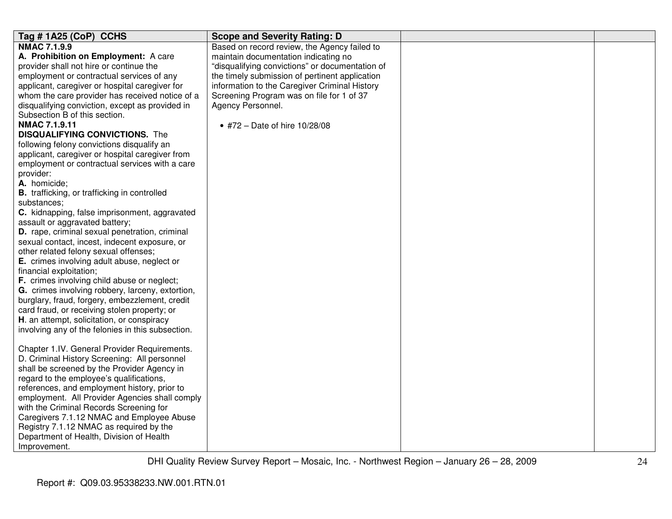| Tag #1A25 (CoP) CCHS                                | <b>Scope and Severity Rating: D</b>             |  |
|-----------------------------------------------------|-------------------------------------------------|--|
| <b>NMAC 7.1.9.9</b>                                 | Based on record review, the Agency failed to    |  |
| A. Prohibition on Employment: A care                | maintain documentation indicating no            |  |
| provider shall not hire or continue the             | "disqualifying convictions" or documentation of |  |
| employment or contractual services of any           | the timely submission of pertinent application  |  |
| applicant, caregiver or hospital caregiver for      | information to the Caregiver Criminal History   |  |
| whom the care provider has received notice of a     | Screening Program was on file for 1 of 37       |  |
| disqualifying conviction, except as provided in     | Agency Personnel.                               |  |
| Subsection B of this section.                       |                                                 |  |
| NMAC 7.1.9.11                                       | • #72 - Date of hire 10/28/08                   |  |
| <b>DISQUALIFYING CONVICTIONS.</b> The               |                                                 |  |
| following felony convictions disqualify an          |                                                 |  |
| applicant, caregiver or hospital caregiver from     |                                                 |  |
| employment or contractual services with a care      |                                                 |  |
| provider:                                           |                                                 |  |
| A. homicide;                                        |                                                 |  |
| <b>B.</b> trafficking, or trafficking in controlled |                                                 |  |
| substances;                                         |                                                 |  |
| C. kidnapping, false imprisonment, aggravated       |                                                 |  |
| assault or aggravated battery;                      |                                                 |  |
| D. rape, criminal sexual penetration, criminal      |                                                 |  |
| sexual contact, incest, indecent exposure, or       |                                                 |  |
| other related felony sexual offenses;               |                                                 |  |
| E. crimes involving adult abuse, neglect or         |                                                 |  |
| financial exploitation;                             |                                                 |  |
| F. crimes involving child abuse or neglect;         |                                                 |  |
| G. crimes involving robbery, larceny, extortion,    |                                                 |  |
| burglary, fraud, forgery, embezzlement, credit      |                                                 |  |
| card fraud, or receiving stolen property; or        |                                                 |  |
| H. an attempt, solicitation, or conspiracy          |                                                 |  |
| involving any of the felonies in this subsection.   |                                                 |  |
|                                                     |                                                 |  |
| Chapter 1.IV. General Provider Requirements.        |                                                 |  |
| D. Criminal History Screening: All personnel        |                                                 |  |
| shall be screened by the Provider Agency in         |                                                 |  |
| regard to the employee's qualifications,            |                                                 |  |
| references, and employment history, prior to        |                                                 |  |
| employment. All Provider Agencies shall comply      |                                                 |  |
| with the Criminal Records Screening for             |                                                 |  |
| Caregivers 7.1.12 NMAC and Employee Abuse           |                                                 |  |
| Registry 7.1.12 NMAC as required by the             |                                                 |  |
| Department of Health, Division of Health            |                                                 |  |
| Improvement.                                        |                                                 |  |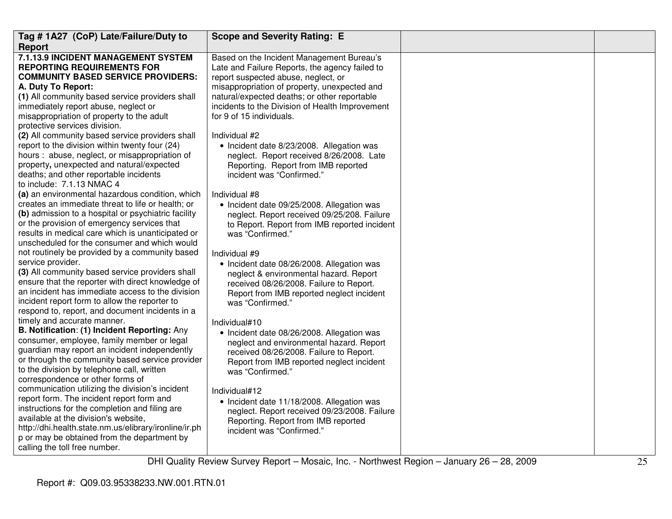| Tag #1A27 (CoP) Late/Failure/Duty to                                                                                                                                                                                                                                                                                                                                                                                      | <b>Scope and Severity Rating: E</b>                                                                                                                                                                                                                                                                                                                                             |  |
|---------------------------------------------------------------------------------------------------------------------------------------------------------------------------------------------------------------------------------------------------------------------------------------------------------------------------------------------------------------------------------------------------------------------------|---------------------------------------------------------------------------------------------------------------------------------------------------------------------------------------------------------------------------------------------------------------------------------------------------------------------------------------------------------------------------------|--|
| <b>Report</b>                                                                                                                                                                                                                                                                                                                                                                                                             |                                                                                                                                                                                                                                                                                                                                                                                 |  |
| 7.1.13.9 INCIDENT MANAGEMENT SYSTEM<br><b>REPORTING REQUIREMENTS FOR</b><br><b>COMMUNITY BASED SERVICE PROVIDERS:</b><br>A. Duty To Report:<br>(1) All community based service providers shall<br>immediately report abuse, neglect or<br>misappropriation of property to the adult<br>protective services division.<br>(2) All community based service providers shall<br>report to the division within twenty four (24) | Based on the Incident Management Bureau's<br>Late and Failure Reports, the agency failed to<br>report suspected abuse, neglect, or<br>misappropriation of property, unexpected and<br>natural/expected deaths; or other reportable<br>incidents to the Division of Health Improvement<br>for 9 of 15 individuals.<br>Individual #2<br>• Incident date 8/23/2008. Allegation was |  |
| hours : abuse, neglect, or misappropriation of<br>property, unexpected and natural/expected<br>deaths; and other reportable incidents<br>to include: 7.1.13 NMAC 4<br>(a) an environmental hazardous condition, which                                                                                                                                                                                                     | neglect. Report received 8/26/2008. Late<br>Reporting. Report from IMB reported<br>incident was "Confirmed."<br>Individual #8                                                                                                                                                                                                                                                   |  |
| creates an immediate threat to life or health; or<br>(b) admission to a hospital or psychiatric facility<br>or the provision of emergency services that<br>results in medical care which is unanticipated or<br>unscheduled for the consumer and which would                                                                                                                                                              | • Incident date 09/25/2008. Allegation was<br>neglect. Report received 09/25/208. Failure<br>to Report. Report from IMB reported incident<br>was "Confirmed."                                                                                                                                                                                                                   |  |
| not routinely be provided by a community based<br>service provider.<br>(3) All community based service providers shall<br>ensure that the reporter with direct knowledge of<br>an incident has immediate access to the division<br>incident report form to allow the reporter to<br>respond to, report, and document incidents in a                                                                                       | Individual #9<br>• Incident date 08/26/2008. Allegation was<br>neglect & environmental hazard. Report<br>received 08/26/2008. Failure to Report.<br>Report from IMB reported neglect incident<br>was "Confirmed."                                                                                                                                                               |  |
| timely and accurate manner.<br>B. Notification: (1) Incident Reporting: Any<br>consumer, employee, family member or legal<br>guardian may report an incident independently<br>or through the community based service provider<br>to the division by telephone call, written<br>correspondence or other forms of                                                                                                           | Individual#10<br>• Incident date 08/26/2008. Allegation was<br>neglect and environmental hazard. Report<br>received 08/26/2008. Failure to Report.<br>Report from IMB reported neglect incident<br>was "Confirmed."                                                                                                                                                             |  |
| communication utilizing the division's incident<br>report form. The incident report form and<br>instructions for the completion and filing are<br>available at the division's website,<br>http://dhi.health.state.nm.us/elibrary/ironline/ir.ph<br>p or may be obtained from the department by<br>calling the toll free number.                                                                                           | Individual#12<br>• Incident date 11/18/2008. Allegation was<br>neglect. Report received 09/23/2008. Failure<br>Reporting. Report from IMB reported<br>incident was "Confirmed."                                                                                                                                                                                                 |  |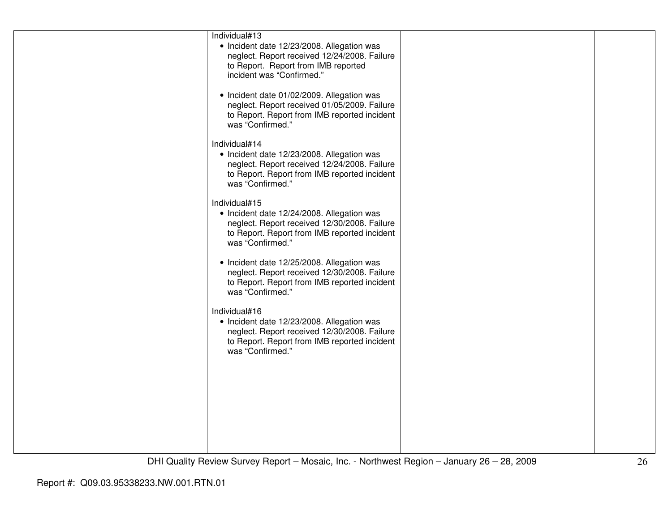| Individual#13                                |  |
|----------------------------------------------|--|
| • Incident date 12/23/2008. Allegation was   |  |
| neglect. Report received 12/24/2008. Failure |  |
| to Report. Report from IMB reported          |  |
| incident was "Confirmed."                    |  |
|                                              |  |
| • Incident date 01/02/2009. Allegation was   |  |
| neglect. Report received 01/05/2009. Failure |  |
| to Report. Report from IMB reported incident |  |
| was "Confirmed."                             |  |
|                                              |  |
| Individual#14                                |  |
| • Incident date 12/23/2008. Allegation was   |  |
| neglect. Report received 12/24/2008. Failure |  |
| to Report. Report from IMB reported incident |  |
| was "Confirmed."                             |  |
|                                              |  |
| Individual#15                                |  |
|                                              |  |
| • Incident date 12/24/2008. Allegation was   |  |
| neglect. Report received 12/30/2008. Failure |  |
| to Report. Report from IMB reported incident |  |
| was "Confirmed."                             |  |
|                                              |  |
| • Incident date 12/25/2008. Allegation was   |  |
| neglect. Report received 12/30/2008. Failure |  |
| to Report. Report from IMB reported incident |  |
| was "Confirmed."                             |  |
|                                              |  |
| Individual#16                                |  |
| • Incident date 12/23/2008. Allegation was   |  |
| neglect. Report received 12/30/2008. Failure |  |
| to Report. Report from IMB reported incident |  |
| was "Confirmed."                             |  |
|                                              |  |
|                                              |  |
|                                              |  |
|                                              |  |
|                                              |  |
|                                              |  |
|                                              |  |
|                                              |  |
|                                              |  |
|                                              |  |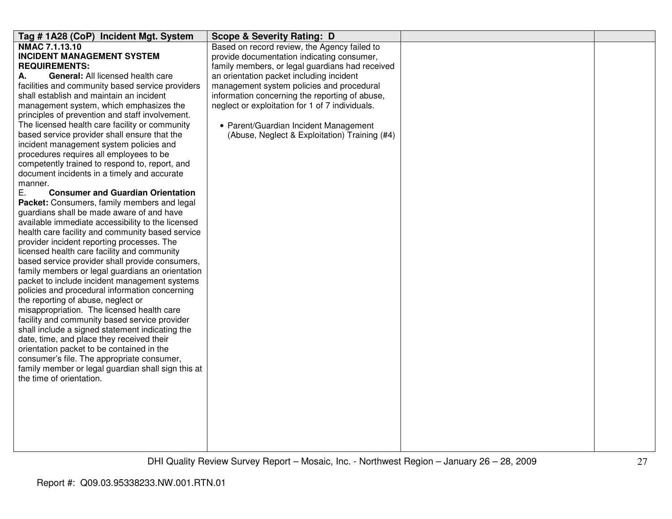| Tag #1A28 (CoP) Incident Mgt. System                                                    | <b>Scope &amp; Severity Rating: D</b>           |  |
|-----------------------------------------------------------------------------------------|-------------------------------------------------|--|
| <b>NMAC 7.1.13.10</b>                                                                   | Based on record review, the Agency failed to    |  |
| <b>INCIDENT MANAGEMENT SYSTEM</b>                                                       | provide documentation indicating consumer,      |  |
| <b>REQUIREMENTS:</b>                                                                    | family members, or legal guardians had received |  |
| General: All licensed health care<br>А.                                                 | an orientation packet including incident        |  |
| facilities and community based service providers                                        | management system policies and procedural       |  |
| shall establish and maintain an incident                                                | information concerning the reporting of abuse,  |  |
| management system, which emphasizes the                                                 | neglect or exploitation for 1 of 7 individuals. |  |
| principles of prevention and staff involvement.                                         |                                                 |  |
| The licensed health care facility or community                                          | • Parent/Guardian Incident Management           |  |
| based service provider shall ensure that the                                            | (Abuse, Neglect & Exploitation) Training (#4)   |  |
| incident management system policies and                                                 |                                                 |  |
| procedures requires all employees to be                                                 |                                                 |  |
| competently trained to respond to, report, and                                          |                                                 |  |
| document incidents in a timely and accurate                                             |                                                 |  |
| manner.                                                                                 |                                                 |  |
| <b>Consumer and Guardian Orientation</b><br>Ε.                                          |                                                 |  |
| Packet: Consumers, family members and legal                                             |                                                 |  |
| guardians shall be made aware of and have                                               |                                                 |  |
| available immediate accessibility to the licensed                                       |                                                 |  |
| health care facility and community based service                                        |                                                 |  |
| provider incident reporting processes. The                                              |                                                 |  |
| licensed health care facility and community                                             |                                                 |  |
| based service provider shall provide consumers,                                         |                                                 |  |
| family members or legal guardians an orientation                                        |                                                 |  |
| packet to include incident management systems                                           |                                                 |  |
| policies and procedural information concerning                                          |                                                 |  |
| the reporting of abuse, neglect or                                                      |                                                 |  |
| misappropriation. The licensed health care                                              |                                                 |  |
| facility and community based service provider                                           |                                                 |  |
| shall include a signed statement indicating the                                         |                                                 |  |
| date, time, and place they received their                                               |                                                 |  |
| orientation packet to be contained in the<br>consumer's file. The appropriate consumer, |                                                 |  |
| family member or legal guardian shall sign this at                                      |                                                 |  |
| the time of orientation.                                                                |                                                 |  |
|                                                                                         |                                                 |  |
|                                                                                         |                                                 |  |
|                                                                                         |                                                 |  |
|                                                                                         |                                                 |  |
|                                                                                         |                                                 |  |
|                                                                                         |                                                 |  |
|                                                                                         |                                                 |  |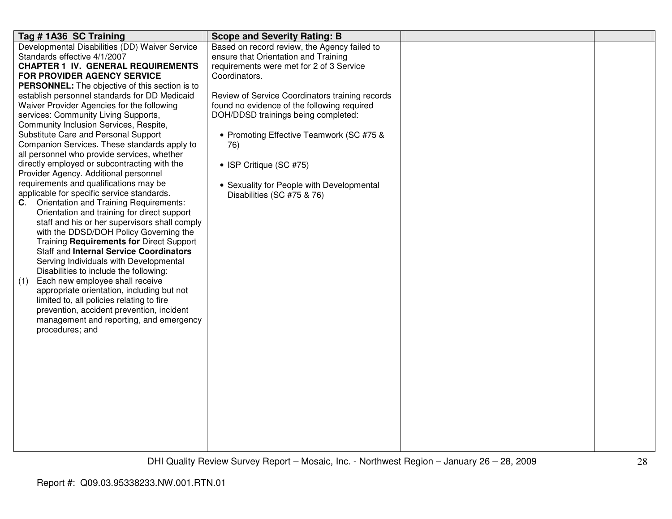| Tag # 1A36 SC Training                                                          | <b>Scope and Severity Rating: B</b>             |  |
|---------------------------------------------------------------------------------|-------------------------------------------------|--|
| Developmental Disabilities (DD) Waiver Service                                  | Based on record review, the Agency failed to    |  |
| Standards effective 4/1/2007                                                    | ensure that Orientation and Training            |  |
| <b>CHAPTER 1 IV. GENERAL REQUIREMENTS</b>                                       | requirements were met for 2 of 3 Service        |  |
| FOR PROVIDER AGENCY SERVICE                                                     | Coordinators.                                   |  |
| PERSONNEL: The objective of this section is to                                  |                                                 |  |
| establish personnel standards for DD Medicaid                                   | Review of Service Coordinators training records |  |
| Waiver Provider Agencies for the following                                      | found no evidence of the following required     |  |
| services: Community Living Supports,                                            | DOH/DDSD trainings being completed:             |  |
| Community Inclusion Services, Respite,                                          |                                                 |  |
| Substitute Care and Personal Support                                            | • Promoting Effective Teamwork (SC #75 &        |  |
| Companion Services. These standards apply to                                    | 76)                                             |  |
| all personnel who provide services, whether                                     |                                                 |  |
| directly employed or subcontracting with the                                    | • ISP Critique (SC #75)                         |  |
| Provider Agency. Additional personnel<br>requirements and qualifications may be |                                                 |  |
| applicable for specific service standards.                                      | • Sexuality for People with Developmental       |  |
| <b>C.</b> Orientation and Training Requirements:                                | Disabilities (SC #75 & 76)                      |  |
| Orientation and training for direct support                                     |                                                 |  |
| staff and his or her supervisors shall comply                                   |                                                 |  |
| with the DDSD/DOH Policy Governing the                                          |                                                 |  |
| Training Requirements for Direct Support                                        |                                                 |  |
| <b>Staff and Internal Service Coordinators</b>                                  |                                                 |  |
| Serving Individuals with Developmental                                          |                                                 |  |
| Disabilities to include the following:                                          |                                                 |  |
| Each new employee shall receive<br>(1)                                          |                                                 |  |
| appropriate orientation, including but not                                      |                                                 |  |
| limited to, all policies relating to fire                                       |                                                 |  |
| prevention, accident prevention, incident                                       |                                                 |  |
| management and reporting, and emergency                                         |                                                 |  |
| procedures; and                                                                 |                                                 |  |
|                                                                                 |                                                 |  |
|                                                                                 |                                                 |  |
|                                                                                 |                                                 |  |
|                                                                                 |                                                 |  |
|                                                                                 |                                                 |  |
|                                                                                 |                                                 |  |
|                                                                                 |                                                 |  |
|                                                                                 |                                                 |  |
|                                                                                 |                                                 |  |
|                                                                                 |                                                 |  |
|                                                                                 |                                                 |  |
|                                                                                 |                                                 |  |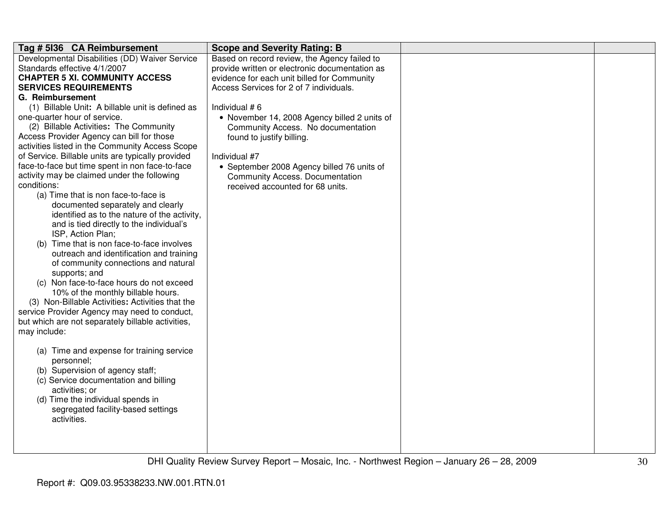| Tag # 5136 CA Reimbursement                       | <b>Scope and Severity Rating: B</b>            |  |
|---------------------------------------------------|------------------------------------------------|--|
| Developmental Disabilities (DD) Waiver Service    | Based on record review, the Agency failed to   |  |
| Standards effective 4/1/2007                      | provide written or electronic documentation as |  |
| <b>CHAPTER 5 XI. COMMUNITY ACCESS</b>             | evidence for each unit billed for Community    |  |
| <b>SERVICES REQUIREMENTS</b>                      | Access Services for 2 of 7 individuals.        |  |
| G. Reimbursement                                  |                                                |  |
| (1) Billable Unit: A billable unit is defined as  | Individual #6                                  |  |
| one-quarter hour of service.                      | • November 14, 2008 Agency billed 2 units of   |  |
| (2) Billable Activities: The Community            | Community Access. No documentation             |  |
| Access Provider Agency can bill for those         | found to justify billing.                      |  |
| activities listed in the Community Access Scope   |                                                |  |
| of Service. Billable units are typically provided | Individual #7                                  |  |
| face-to-face but time spent in non face-to-face   | • September 2008 Agency billed 76 units of     |  |
| activity may be claimed under the following       | <b>Community Access. Documentation</b>         |  |
| conditions:                                       | received accounted for 68 units.               |  |
| (a) Time that is non face-to-face is              |                                                |  |
| documented separately and clearly                 |                                                |  |
| identified as to the nature of the activity,      |                                                |  |
| and is tied directly to the individual's          |                                                |  |
| ISP, Action Plan;                                 |                                                |  |
| (b) Time that is non face-to-face involves        |                                                |  |
| outreach and identification and training          |                                                |  |
| of community connections and natural              |                                                |  |
| supports; and                                     |                                                |  |
| (c) Non face-to-face hours do not exceed          |                                                |  |
| 10% of the monthly billable hours.                |                                                |  |
| (3) Non-Billable Activities: Activities that the  |                                                |  |
| service Provider Agency may need to conduct,      |                                                |  |
| but which are not separately billable activities, |                                                |  |
| may include:                                      |                                                |  |
|                                                   |                                                |  |
| (a) Time and expense for training service         |                                                |  |
| personnel;                                        |                                                |  |
| (b) Supervision of agency staff;                  |                                                |  |
| (c) Service documentation and billing             |                                                |  |
| activities; or                                    |                                                |  |
| (d) Time the individual spends in                 |                                                |  |
| segregated facility-based settings                |                                                |  |
| activities.                                       |                                                |  |
|                                                   |                                                |  |
|                                                   |                                                |  |
|                                                   |                                                |  |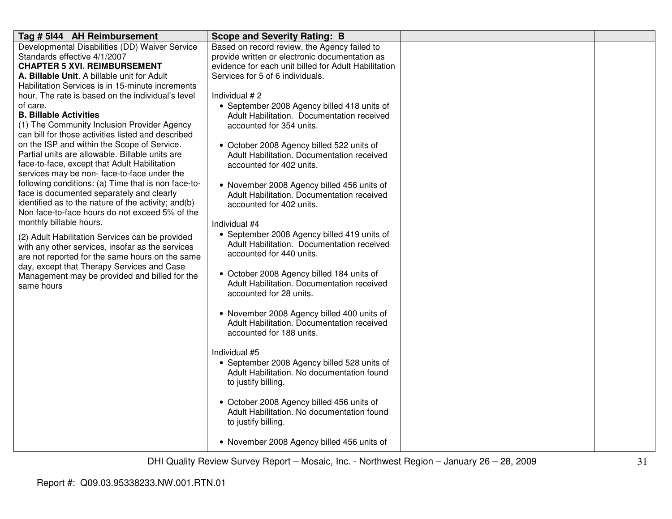| Tag # 5144 AH Reimbursement                                                                           | <b>Scope and Severity Rating: B</b>                                    |  |
|-------------------------------------------------------------------------------------------------------|------------------------------------------------------------------------|--|
| Developmental Disabilities (DD) Waiver Service                                                        | Based on record review, the Agency failed to                           |  |
| Standards effective 4/1/2007                                                                          | provide written or electronic documentation as                         |  |
| <b>CHAPTER 5 XVI. REIMBURSEMENT</b>                                                                   | evidence for each unit billed for Adult Habilitation                   |  |
| A. Billable Unit. A billable unit for Adult                                                           | Services for 5 of 6 individuals.                                       |  |
| Habilitation Services is in 15-minute increments                                                      |                                                                        |  |
| hour. The rate is based on the individual's level                                                     | Individual #2                                                          |  |
| of care.                                                                                              | • September 2008 Agency billed 418 units of                            |  |
| <b>B. Billable Activities</b>                                                                         | Adult Habilitation. Documentation received                             |  |
| (1) The Community Inclusion Provider Agency                                                           | accounted for 354 units.                                               |  |
| can bill for those activities listed and described                                                    |                                                                        |  |
| on the ISP and within the Scope of Service.                                                           | • October 2008 Agency billed 522 units of                              |  |
| Partial units are allowable. Billable units are                                                       | Adult Habilitation. Documentation received                             |  |
| face-to-face, except that Adult Habilitation                                                          | accounted for 402 units.                                               |  |
| services may be non-face-to-face under the                                                            |                                                                        |  |
| following conditions: (a) Time that is non face-to-                                                   | • November 2008 Agency billed 456 units of                             |  |
| face is documented separately and clearly                                                             | Adult Habilitation. Documentation received                             |  |
| identified as to the nature of the activity; and(b)<br>Non face-to-face hours do not exceed 5% of the | accounted for 402 units.                                               |  |
| monthly billable hours.                                                                               |                                                                        |  |
|                                                                                                       | Individual #4                                                          |  |
| (2) Adult Habilitation Services can be provided                                                       | • September 2008 Agency billed 419 units of                            |  |
| with any other services, insofar as the services                                                      | Adult Habilitation. Documentation received<br>accounted for 440 units. |  |
| are not reported for the same hours on the same                                                       |                                                                        |  |
| day, except that Therapy Services and Case                                                            | • October 2008 Agency billed 184 units of                              |  |
| Management may be provided and billed for the                                                         | Adult Habilitation. Documentation received                             |  |
| same hours                                                                                            | accounted for 28 units.                                                |  |
|                                                                                                       |                                                                        |  |
|                                                                                                       | • November 2008 Agency billed 400 units of                             |  |
|                                                                                                       | Adult Habilitation. Documentation received                             |  |
|                                                                                                       | accounted for 188 units.                                               |  |
|                                                                                                       |                                                                        |  |
|                                                                                                       | Individual #5                                                          |  |
|                                                                                                       | • September 2008 Agency billed 528 units of                            |  |
|                                                                                                       | Adult Habilitation. No documentation found                             |  |
|                                                                                                       | to justify billing.                                                    |  |
|                                                                                                       |                                                                        |  |
|                                                                                                       | • October 2008 Agency billed 456 units of                              |  |
|                                                                                                       | Adult Habilitation. No documentation found                             |  |
|                                                                                                       | to justify billing.                                                    |  |
|                                                                                                       | • November 2008 Agency billed 456 units of                             |  |
|                                                                                                       |                                                                        |  |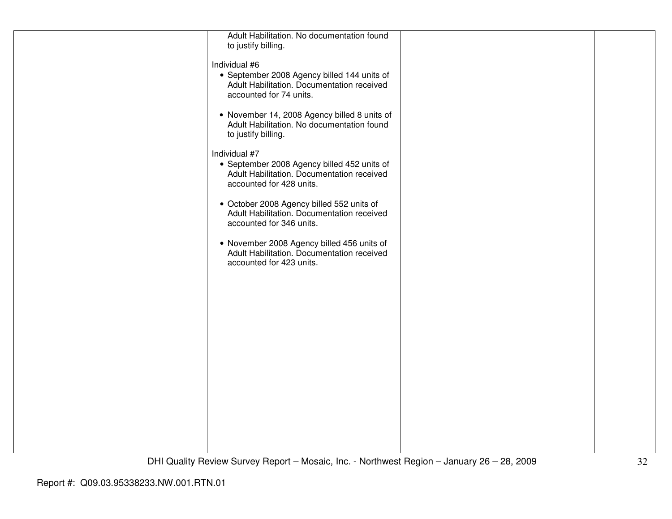| Adult Habilitation. No documentation found<br>to justify billing.                                                                      |  |
|----------------------------------------------------------------------------------------------------------------------------------------|--|
| Individual #6<br>• September 2008 Agency billed 144 units of<br>Adult Habilitation. Documentation received<br>accounted for 74 units.  |  |
| • November 14, 2008 Agency billed 8 units of<br>Adult Habilitation. No documentation found<br>to justify billing.                      |  |
| Individual #7<br>• September 2008 Agency billed 452 units of<br>Adult Habilitation. Documentation received<br>accounted for 428 units. |  |
| • October 2008 Agency billed 552 units of<br>Adult Habilitation. Documentation received<br>accounted for 346 units.                    |  |
| • November 2008 Agency billed 456 units of<br>Adult Habilitation. Documentation received<br>accounted for 423 units.                   |  |
|                                                                                                                                        |  |
|                                                                                                                                        |  |
|                                                                                                                                        |  |
|                                                                                                                                        |  |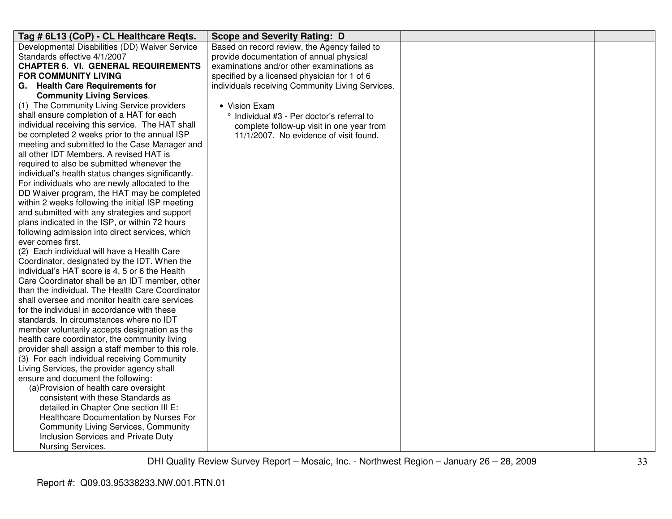| Tag # 6L13 (CoP) - CL Healthcare Reqts.                                                        | <b>Scope and Severity Rating: D</b>              |  |
|------------------------------------------------------------------------------------------------|--------------------------------------------------|--|
| Developmental Disabilities (DD) Waiver Service                                                 | Based on record review, the Agency failed to     |  |
| Standards effective 4/1/2007                                                                   | provide documentation of annual physical         |  |
| <b>CHAPTER 6. VI. GENERAL REQUIREMENTS</b>                                                     | examinations and/or other examinations as        |  |
| <b>FOR COMMUNITY LIVING</b>                                                                    | specified by a licensed physician for 1 of 6     |  |
| G. Health Care Requirements for                                                                | individuals receiving Community Living Services. |  |
| <b>Community Living Services.</b>                                                              |                                                  |  |
| (1) The Community Living Service providers                                                     | • Vision Exam                                    |  |
| shall ensure completion of a HAT for each                                                      | ° Individual #3 - Per doctor's referral to       |  |
| individual receiving this service. The HAT shall                                               | complete follow-up visit in one year from        |  |
| be completed 2 weeks prior to the annual ISP                                                   | 11/1/2007. No evidence of visit found.           |  |
| meeting and submitted to the Case Manager and<br>all other IDT Members. A revised HAT is       |                                                  |  |
| required to also be submitted whenever the                                                     |                                                  |  |
| individual's health status changes significantly.                                              |                                                  |  |
| For individuals who are newly allocated to the                                                 |                                                  |  |
| DD Waiver program, the HAT may be completed                                                    |                                                  |  |
| within 2 weeks following the initial ISP meeting                                               |                                                  |  |
| and submitted with any strategies and support                                                  |                                                  |  |
| plans indicated in the ISP, or within 72 hours                                                 |                                                  |  |
| following admission into direct services, which                                                |                                                  |  |
| ever comes first.                                                                              |                                                  |  |
| (2) Each individual will have a Health Care                                                    |                                                  |  |
| Coordinator, designated by the IDT. When the                                                   |                                                  |  |
| individual's HAT score is 4, 5 or 6 the Health                                                 |                                                  |  |
| Care Coordinator shall be an IDT member, other                                                 |                                                  |  |
| than the individual. The Health Care Coordinator                                               |                                                  |  |
| shall oversee and monitor health care services                                                 |                                                  |  |
| for the individual in accordance with these                                                    |                                                  |  |
| standards. In circumstances where no IDT                                                       |                                                  |  |
| member voluntarily accepts designation as the<br>health care coordinator, the community living |                                                  |  |
| provider shall assign a staff member to this role.                                             |                                                  |  |
| (3) For each individual receiving Community                                                    |                                                  |  |
| Living Services, the provider agency shall                                                     |                                                  |  |
| ensure and document the following:                                                             |                                                  |  |
| (a) Provision of health care oversight                                                         |                                                  |  |
| consistent with these Standards as                                                             |                                                  |  |
| detailed in Chapter One section III E:                                                         |                                                  |  |
| Healthcare Documentation by Nurses For                                                         |                                                  |  |
| <b>Community Living Services, Community</b>                                                    |                                                  |  |
| Inclusion Services and Private Duty                                                            |                                                  |  |
| Nursing Services.                                                                              |                                                  |  |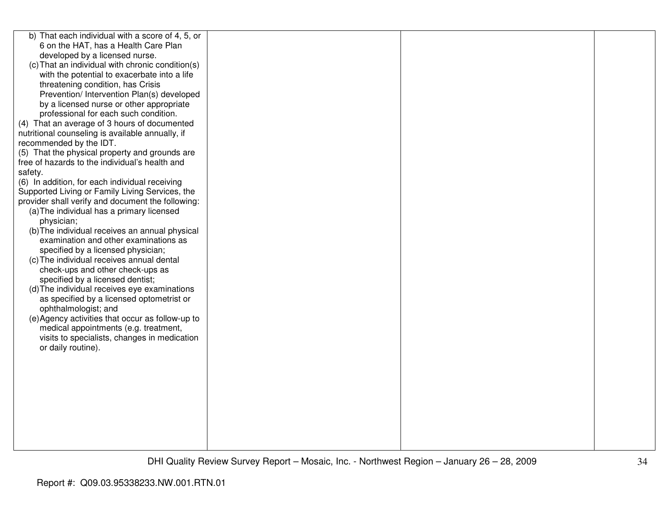| b) That each individual with a score of 4, 5, or  |  |  |
|---------------------------------------------------|--|--|
| 6 on the HAT, has a Health Care Plan              |  |  |
| developed by a licensed nurse.                    |  |  |
| (c) That an individual with chronic condition(s)  |  |  |
| with the potential to exacerbate into a life      |  |  |
| threatening condition, has Crisis                 |  |  |
| Prevention/ Intervention Plan(s) developed        |  |  |
| by a licensed nurse or other appropriate          |  |  |
| professional for each such condition.             |  |  |
| (4) That an average of 3 hours of documented      |  |  |
| nutritional counseling is available annually, if  |  |  |
| recommended by the IDT.                           |  |  |
| (5) That the physical property and grounds are    |  |  |
| free of hazards to the individual's health and    |  |  |
| safety.                                           |  |  |
| (6) In addition, for each individual receiving    |  |  |
| Supported Living or Family Living Services, the   |  |  |
| provider shall verify and document the following: |  |  |
| (a) The individual has a primary licensed         |  |  |
| physician;                                        |  |  |
| (b) The individual receives an annual physical    |  |  |
| examination and other examinations as             |  |  |
| specified by a licensed physician;                |  |  |
| (c) The individual receives annual dental         |  |  |
| check-ups and other check-ups as                  |  |  |
| specified by a licensed dentist;                  |  |  |
| (d) The individual receives eye examinations      |  |  |
| as specified by a licensed optometrist or         |  |  |
| ophthalmologist; and                              |  |  |
| (e) Agency activities that occur as follow-up to  |  |  |
| medical appointments (e.g. treatment,             |  |  |
| visits to specialists, changes in medication      |  |  |
| or daily routine).                                |  |  |
|                                                   |  |  |
|                                                   |  |  |
|                                                   |  |  |
|                                                   |  |  |
|                                                   |  |  |
|                                                   |  |  |
|                                                   |  |  |
|                                                   |  |  |
|                                                   |  |  |
|                                                   |  |  |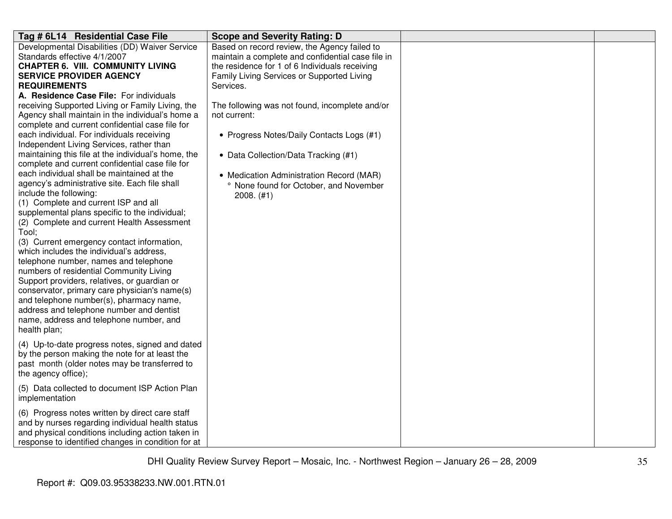| Tag # 6L14 Residential Case File                    | <b>Scope and Severity Rating: D</b>               |  |
|-----------------------------------------------------|---------------------------------------------------|--|
| Developmental Disabilities (DD) Waiver Service      | Based on record review, the Agency failed to      |  |
| Standards effective 4/1/2007                        | maintain a complete and confidential case file in |  |
| <b>CHAPTER 6. VIII. COMMUNITY LIVING</b>            | the residence for 1 of 6 Individuals receiving    |  |
| <b>SERVICE PROVIDER AGENCY</b>                      | Family Living Services or Supported Living        |  |
| <b>REQUIREMENTS</b>                                 | Services.                                         |  |
| A. Residence Case File: For individuals             |                                                   |  |
| receiving Supported Living or Family Living, the    | The following was not found, incomplete and/or    |  |
| Agency shall maintain in the individual's home a    | not current:                                      |  |
| complete and current confidential case file for     |                                                   |  |
| each individual. For individuals receiving          | • Progress Notes/Daily Contacts Logs (#1)         |  |
| Independent Living Services, rather than            |                                                   |  |
| maintaining this file at the individual's home, the | • Data Collection/Data Tracking (#1)              |  |
| complete and current confidential case file for     |                                                   |  |
| each individual shall be maintained at the          | • Medication Administration Record (MAR)          |  |
| agency's administrative site. Each file shall       | ° None found for October, and November            |  |
| include the following:                              | $2008.$ (#1)                                      |  |
| (1) Complete and current ISP and all                |                                                   |  |
| supplemental plans specific to the individual;      |                                                   |  |
| (2) Complete and current Health Assessment          |                                                   |  |
| Tool;                                               |                                                   |  |
| (3) Current emergency contact information,          |                                                   |  |
| which includes the individual's address.            |                                                   |  |
| telephone number, names and telephone               |                                                   |  |
| numbers of residential Community Living             |                                                   |  |
| Support providers, relatives, or guardian or        |                                                   |  |
| conservator, primary care physician's name(s)       |                                                   |  |
| and telephone number(s), pharmacy name,             |                                                   |  |
| address and telephone number and dentist            |                                                   |  |
| name, address and telephone number, and             |                                                   |  |
| health plan;                                        |                                                   |  |
| (4) Up-to-date progress notes, signed and dated     |                                                   |  |
| by the person making the note for at least the      |                                                   |  |
| past month (older notes may be transferred to       |                                                   |  |
| the agency office);                                 |                                                   |  |
|                                                     |                                                   |  |
| (5) Data collected to document ISP Action Plan      |                                                   |  |
| implementation                                      |                                                   |  |
| (6) Progress notes written by direct care staff     |                                                   |  |
| and by nurses regarding individual health status    |                                                   |  |
| and physical conditions including action taken in   |                                                   |  |
| response to identified changes in condition for at  |                                                   |  |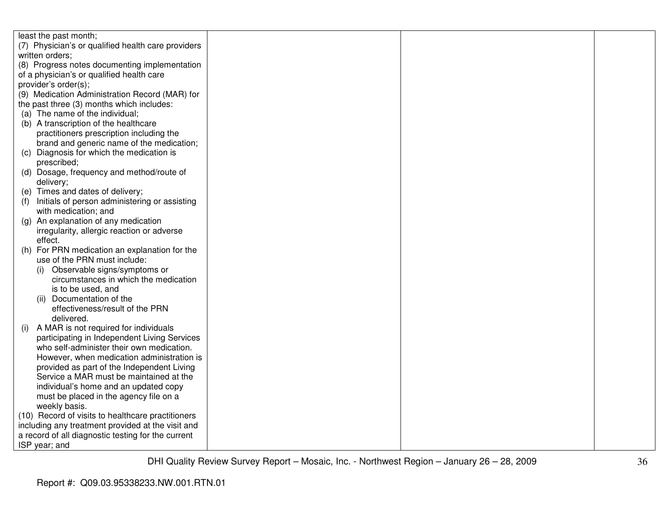| least the past month;                                |  |  |
|------------------------------------------------------|--|--|
| (7) Physician's or qualified health care providers   |  |  |
| written orders;                                      |  |  |
| (8) Progress notes documenting implementation        |  |  |
| of a physician's or qualified health care            |  |  |
| provider's order(s);                                 |  |  |
| (9) Medication Administration Record (MAR) for       |  |  |
| the past three (3) months which includes:            |  |  |
| (a) The name of the individual;                      |  |  |
| (b) A transcription of the healthcare                |  |  |
| practitioners prescription including the             |  |  |
| brand and generic name of the medication;            |  |  |
| (c) Diagnosis for which the medication is            |  |  |
| prescribed;                                          |  |  |
| (d) Dosage, frequency and method/route of            |  |  |
| delivery;                                            |  |  |
| (e) Times and dates of delivery;                     |  |  |
| Initials of person administering or assisting<br>(1) |  |  |
| with medication; and                                 |  |  |
| (g) An explanation of any medication                 |  |  |
| irregularity, allergic reaction or adverse           |  |  |
| effect.                                              |  |  |
| For PRN medication an explanation for the<br>(h)     |  |  |
| use of the PRN must include:                         |  |  |
| Observable signs/symptoms or<br>(i)                  |  |  |
| circumstances in which the medication                |  |  |
| is to be used, and                                   |  |  |
| Documentation of the<br>(ii)                         |  |  |
| effectiveness/result of the PRN                      |  |  |
| delivered.                                           |  |  |
| A MAR is not required for individuals<br>(i)         |  |  |
| participating in Independent Living Services         |  |  |
| who self-administer their own medication.            |  |  |
| However, when medication administration is           |  |  |
| provided as part of the Independent Living           |  |  |
| Service a MAR must be maintained at the              |  |  |
| individual's home and an updated copy                |  |  |
| must be placed in the agency file on a               |  |  |
| weekly basis.                                        |  |  |
| (10) Record of visits to healthcare practitioners    |  |  |
| including any treatment provided at the visit and    |  |  |
| a record of all diagnostic testing for the current   |  |  |
| ISP year; and                                        |  |  |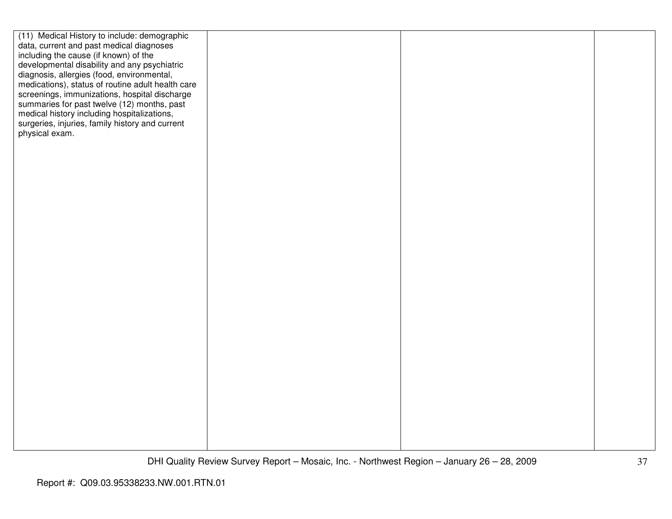| (11) Medical History to include: demographic      |  |  |
|---------------------------------------------------|--|--|
| data, current and past medical diagnoses          |  |  |
| including the cause (if known) of the             |  |  |
| developmental disability and any psychiatric      |  |  |
| diagnosis, allergies (food, environmental,        |  |  |
| medications), status of routine adult health care |  |  |
| screenings, immunizations, hospital discharge     |  |  |
| summaries for past twelve (12) months, past       |  |  |
| medical history including hospitalizations,       |  |  |
| surgeries, injuries, family history and current   |  |  |
| physical exam.                                    |  |  |
|                                                   |  |  |
|                                                   |  |  |
|                                                   |  |  |
|                                                   |  |  |
|                                                   |  |  |
|                                                   |  |  |
|                                                   |  |  |
|                                                   |  |  |
|                                                   |  |  |
|                                                   |  |  |
|                                                   |  |  |
|                                                   |  |  |
|                                                   |  |  |
|                                                   |  |  |
|                                                   |  |  |
|                                                   |  |  |
|                                                   |  |  |
|                                                   |  |  |
|                                                   |  |  |
|                                                   |  |  |
|                                                   |  |  |
|                                                   |  |  |
|                                                   |  |  |
|                                                   |  |  |
|                                                   |  |  |
|                                                   |  |  |
|                                                   |  |  |
|                                                   |  |  |
|                                                   |  |  |
|                                                   |  |  |
|                                                   |  |  |
|                                                   |  |  |
|                                                   |  |  |